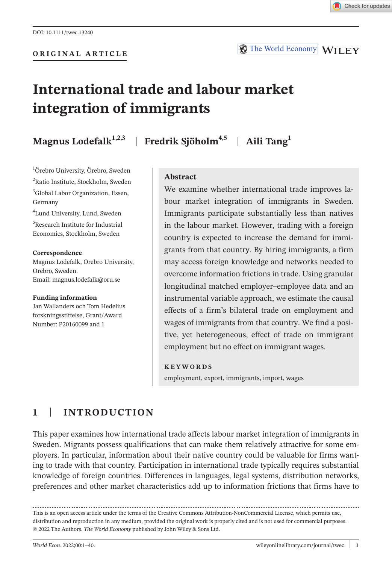**ORIGINAL ARTICLE**

The World Economy WILEY

# **International trade and labour market integration of immigrants**

**Magnus Lodefalk1,2,3** | **Fredrik Sjöholm4,5** | **Aili Tang<sup>1</sup>**

1 Örebro University, Örebro, Sweden <sup>2</sup>Ratio Institute, Stockholm, Sweden 3 Global Labor Organization, Essen, Germany

4 Lund University, Lund, Sweden 5 Research Institute for Industrial Economics, Stockholm, Sweden

#### **Correspondence**

Magnus Lodefalk, Örebro University, Orebro, Sweden. Email: [magnus.lodefalk@oru.se](mailto:magnus.lodefalk@oru.se)

#### **Funding information**

Jan Wallanders och Tom Hedelius forskningsstiftelse, Grant/Award Number: P20160099 and 1

## **Abstract**

We examine whether international trade improves labour market integration of immigrants in Sweden. Immigrants participate substantially less than natives in the labour market. However, trading with a foreign country is expected to increase the demand for immigrants from that country. By hiring immigrants, a firm may access foreign knowledge and networks needed to overcome information frictions in trade. Using granular longitudinal matched employer–employee data and an instrumental variable approach, we estimate the causal effects of a firm's bilateral trade on employment and wages of immigrants from that country. We find a positive, yet heterogeneous, effect of trade on immigrant employment but no effect on immigrant wages.

#### **KEYWORDS**

employment, export, immigrants, import, wages

# **1**  | **INTRODUCTION**

This paper examines how international trade affects labour market integration of immigrants in Sweden. Migrants possess qualifications that can make them relatively attractive for some employers. In particular, information about their native country could be valuable for firms wanting to trade with that country. Participation in international trade typically requires substantial knowledge of foreign countries. Differences in languages, legal systems, distribution networks, preferences and other market characteristics add up to information frictions that firms have to

This is an open access article under the terms of the Creative Commons [Attribution-NonCommercial](http://creativecommons.org/licenses/by-nc/4.0/) License, which permits use, distribution and reproduction in any medium, provided the original work is properly cited and is not used for commercial purposes. © 2022 The Authors. *The World Economy* published by John Wiley & Sons Ltd.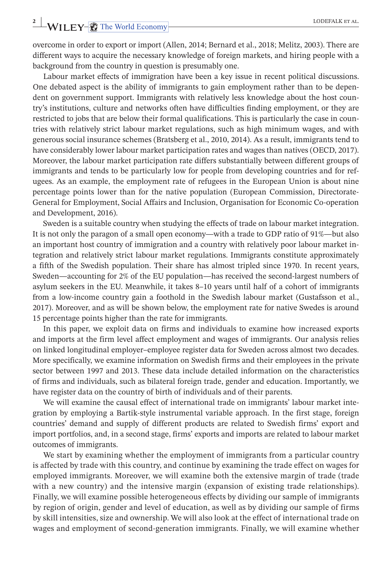# **2** WILEY-**2** The World Economy **LODEFALK ET AL.**

overcome in order to export or import (Allen, 2014; Bernard et al., 2018; Melitz, 2003). There are different ways to acquire the necessary knowledge of foreign markets, and hiring people with a background from the country in question is presumably one.

Labour market effects of immigration have been a key issue in recent political discussions. One debated aspect is the ability of immigrants to gain employment rather than to be dependent on government support. Immigrants with relatively less knowledge about the host country's institutions, culture and networks often have difficulties finding employment, or they are restricted to jobs that are below their formal qualifications. This is particularly the case in countries with relatively strict labour market regulations, such as high minimum wages, and with generous social insurance schemes (Bratsberg et al., 2010, 2014). As a result, immigrants tend to have considerably lower labour market participation rates and wages than natives (OECD, 2017). Moreover, the labour market participation rate differs substantially between different groups of immigrants and tends to be particularly low for people from developing countries and for refugees. As an example, the employment rate of refugees in the European Union is about nine percentage points lower than for the native population (European Commission, Directorate-General for Employment, Social Affairs and Inclusion, Organisation for Economic Co-operation and Development, 2016).

Sweden is a suitable country when studying the effects of trade on labour market integration. It is not only the paragon of a small open economy—with a trade to GDP ratio of 91%—but also an important host country of immigration and a country with relatively poor labour market integration and relatively strict labour market regulations. Immigrants constitute approximately a fifth of the Swedish population. Their share has almost tripled since 1970. In recent years, Sweden—accounting for 2% of the EU population—has received the second-largest numbers of asylum seekers in the EU. Meanwhile, it takes 8–10 years until half of a cohort of immigrants from a low-income country gain a foothold in the Swedish labour market (Gustafsson et al., 2017). Moreover, and as will be shown below, the employment rate for native Swedes is around 15 percentage points higher than the rate for immigrants.

In this paper, we exploit data on firms and individuals to examine how increased exports and imports at the firm level affect employment and wages of immigrants. Our analysis relies on linked longitudinal employer–employee register data for Sweden across almost two decades. More specifically, we examine information on Swedish firms and their employees in the private sector between 1997 and 2013. These data include detailed information on the characteristics of firms and individuals, such as bilateral foreign trade, gender and education. Importantly, we have register data on the country of birth of individuals and of their parents.

We will examine the causal effect of international trade on immigrants' labour market integration by employing a Bartik-style instrumental variable approach. In the first stage, foreign countries' demand and supply of different products are related to Swedish firms' export and import portfolios, and, in a second stage, firms' exports and imports are related to labour market outcomes of immigrants.

We start by examining whether the employment of immigrants from a particular country is affected by trade with this country, and continue by examining the trade effect on wages for employed immigrants. Moreover, we will examine both the extensive margin of trade (trade with a new country) and the intensive margin (expansion of existing trade relationships). Finally, we will examine possible heterogeneous effects by dividing our sample of immigrants by region of origin, gender and level of education, as well as by dividing our sample of firms by skill intensities, size and ownership. We will also look at the effect of international trade on wages and employment of second-generation immigrants. Finally, we will examine whether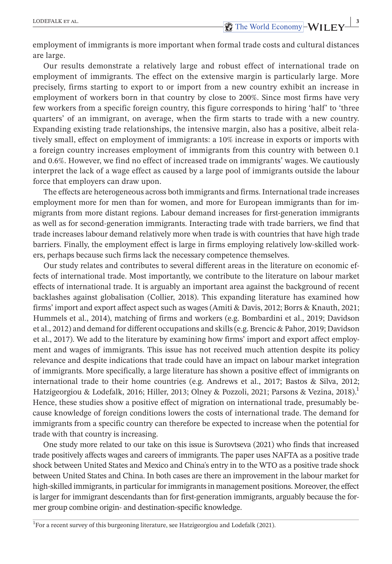employment of immigrants is more important when formal trade costs and cultural distances are large.

Our results demonstrate a relatively large and robust effect of international trade on employment of immigrants. The effect on the extensive margin is particularly large. More precisely, firms starting to export to or import from a new country exhibit an increase in employment of workers born in that country by close to 200%. Since most firms have very few workers from a specific foreign country, this figure corresponds to hiring 'half' to 'three quarters' of an immigrant, on average, when the firm starts to trade with a new country. Expanding existing trade relationships, the intensive margin, also has a positive, albeit relatively small, effect on employment of immigrants: a 10% increase in exports or imports with a foreign country increases employment of immigrants from this country with between 0.1 and 0.6%. However, we find no effect of increased trade on immigrants' wages. We cautiously interpret the lack of a wage effect as caused by a large pool of immigrants outside the labour force that employers can draw upon.

The effects are heterogeneous across both immigrants and firms. International trade increases employment more for men than for women, and more for European immigrants than for immigrants from more distant regions. Labour demand increases for first-generation immigrants as well as for second-generation immigrants. Interacting trade with trade barriers, we find that trade increases labour demand relatively more when trade is with countries that have high trade barriers. Finally, the employment effect is large in firms employing relatively low-skilled workers, perhaps because such firms lack the necessary competence themselves.

Our study relates and contributes to several different areas in the literature on economic effects of international trade. Most importantly, we contribute to the literature on labour market effects of international trade. It is arguably an important area against the background of recent backlashes against globalisation (Collier, 2018). This expanding literature has examined how firms' import and export affect aspect such as wages (Amiti & Davis, 2012; Borrs & Knauth, 2021; Hummels et al., 2014), matching of firms and workers (e.g. Bombardini et al., 2019; Davidson et al., 2012) and demand for different occupations and skills(e.g. Brencic & Pahor, 2019; Davidson et al., 2017). We add to the literature by examining how firms' import and export affect employment and wages of immigrants. This issue has not received much attention despite its policy relevance and despite indications that trade could have an impact on labour market integration of immigrants. More specifically, a large literature has shown a positive effect of immigrants on international trade to their home countries (e.g. Andrews et al., 2017; Bastos & Silva, 2012; Hatzigeorgiou & Lodefalk, 2016; Hiller, 2013; Olney & Pozzoli, 2021; Parsons & Vezina, 2018).<sup>1</sup> Hence, these studies show a positive effect of migration on international trade, presumably because knowledge of foreign conditions lowers the costs of international trade. The demand for immigrants from a specific country can therefore be expected to increase when the potential for trade with that country is increasing.

One study more related to our take on this issue is Surovtseva (2021) who finds that increased trade positively affects wages and careers of immigrants. The paper uses NAFTA as a positive trade shock between United States and Mexico and China's entry in to the WTO as a positive trade shock between United States and China. In both cases are there an improvement in the labour market for high-skilled immigrants, in particular for immigrants in management positions. Moreover, the effect is larger for immigrant descendants than for first-generation immigrants, arguably because the former group combine origin- and destination-specific knowledge.

<sup>&</sup>lt;sup>1</sup>For a recent survey of this burgeoning literature, see Hatzigeorgiou and Lodefalk (2021).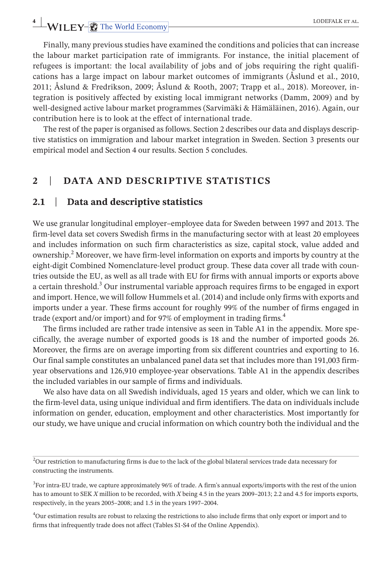# **4** WILEY-**C** The World Economy **LODEFALK ET AL.**

Finally, many previous studies have examined the conditions and policies that can increase the labour market participation rate of immigrants. For instance, the initial placement of refugees is important: the local availability of jobs and of jobs requiring the right qualifications has a large impact on labour market outcomes of immigrants (Åslund et al., 2010, 2011; Åslund & Fredrikson, 2009; Åslund & Rooth, 2007; Trapp et al., 2018). Moreover, integration is positively affected by existing local immigrant networks (Damm, 2009) and by well-designed active labour market programmes (Sarvimäki & Hämäläinen, 2016). Again, our contribution here is to look at the effect of international trade.

The rest of the paper is organised as follows. Section 2 describes our data and displays descriptive statistics on immigration and labour market integration in Sweden. Section 3 presents our empirical model and Section 4 our results. Section 5 concludes.

# **2**  | **DATA AND DESCRIPTIVE STATISTICS**

## **2.1**  | **Data and descriptive statistics**

We use granular longitudinal employer–employee data for Sweden between 1997 and 2013. The firm-level data set covers Swedish firms in the manufacturing sector with at least 20 employees and includes information on such firm characteristics as size, capital stock, value added and ownership.2 Moreover, we have firm-level information on exports and imports by country at the eight-digit Combined Nomenclature-level product group. These data cover all trade with countries outside the EU, as well as all trade with EU for firms with annual imports or exports above a certain threshold.<sup>3</sup> Our instrumental variable approach requires firms to be engaged in export and import. Hence, we will follow Hummels et al. (2014) and include only firms with exports and imports under a year. These firms account for roughly 99% of the number of firms engaged in trade (export and/or import) and for 97% of employment in trading firms.<sup>4</sup>

The firms included are rather trade intensive as seen in Table A1 in the appendix. More specifically, the average number of exported goods is 18 and the number of imported goods 26. Moreover, the firms are on average importing from six different countries and exporting to 16. Our final sample constitutes an unbalanced panel data set that includes more than 191,003 firmyear observations and 126,910 employee-year observations. Table A1 in the appendix describes the included variables in our sample of firms and individuals.

We also have data on all Swedish individuals, aged 15 years and older, which we can link to the firm-level data, using unique individual and firm identifiers. The data on individuals include information on gender, education, employment and other characteristics. Most importantly for our study, we have unique and crucial information on which country both the individual and the

4 Our estimation results are robust to relaxing the restrictions to also include firms that only export or import and to firms that infrequently trade does not affect (Tables S1-S4 of the Online Appendix).

 $2$ Our restriction to manufacturing firms is due to the lack of the global bilateral services trade data necessary for constructing the instruments.

<sup>3</sup> For intra-EU trade, we capture approximately 96% of trade. A firm's annual exports/imports with the rest of the union has to amount to SEK *X* million to be recorded, with *X* being 4.5 in the years 2009–2013; 2.2 and 4.5 for imports exports, respectively, in the years 2005–2008; and 1.5 in the years 1997–2004.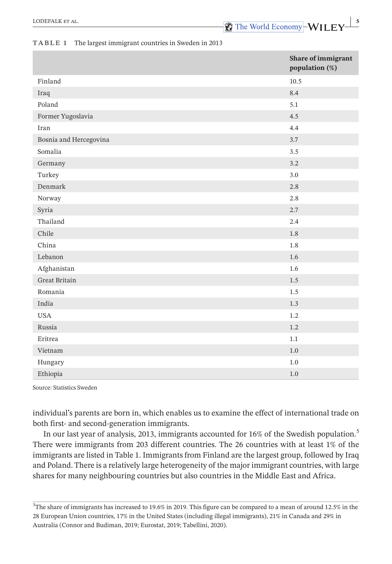#### **TABLE 1** The largest immigrant countries in Sweden in 2013

|                        | Share of immigrant<br>population (%) |
|------------------------|--------------------------------------|
| Finland                | 10.5                                 |
| Iraq                   | 8.4                                  |
| Poland                 | 5.1                                  |
| Former Yugoslavia      | 4.5                                  |
| Iran                   | 4.4                                  |
| Bosnia and Hercegovina | 3.7                                  |
| Somalia                | 3.5                                  |
| Germany                | 3.2                                  |
| Turkey                 | 3.0                                  |
| Denmark                | 2.8                                  |
| Norway                 | 2.8                                  |
| Syria                  | 2.7                                  |
| Thailand               | 2.4                                  |
| Chile                  | 1.8                                  |
| China                  | 1.8                                  |
| Lebanon                | 1.6                                  |
| Afghanistan            | 1.6                                  |
| Great Britain          | $1.5\,$                              |
| Romania                | 1.5                                  |
| India                  | 1.3                                  |
| <b>USA</b>             | 1.2                                  |
| Russia                 | 1.2                                  |
| Eritrea                | 1.1                                  |
| Vietnam                | 1.0                                  |
| Hungary                | 1.0                                  |
| Ethiopia               | 1.0                                  |

Source: Statistics Sweden

individual's parents are born in, which enables us to examine the effect of international trade on both first- and second-generation immigrants.

In our last year of analysis, 2013, immigrants accounted for 16% of the Swedish population.<sup>5</sup> There were immigrants from 203 different countries. The 26 countries with at least 1% of the immigrants are listed in Table 1. Immigrants from Finland are the largest group, followed by Iraq and Poland. There is a relatively large heterogeneity of the major immigrant countries, with large shares for many neighbouring countries but also countries in the Middle East and Africa.

 $^{5}$ The share of immigrants has increased to 19.6% in 2019. This figure can be compared to a mean of around 12.5% in the 28 European Union countries, 17% in the United States (including illegal immigrants), 21% in Canada and 29% in Australia (Connor and Budiman, 2019; Eurostat, 2019; Tabellini, 2020).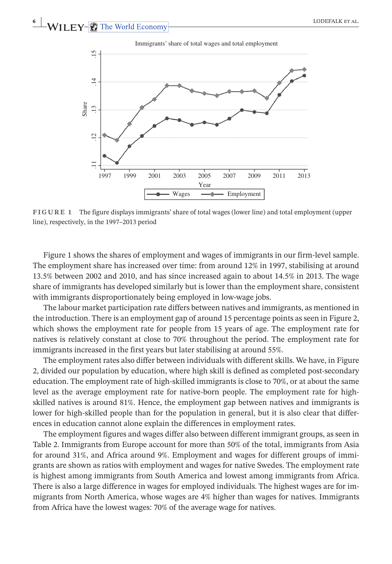Immigrants' share of total wages and total employment



**FIGURE 1** The figure displays immigrants' share of total wages (lower line) and total employment (upper line), respectively, in the 1997–2013 period

Figure 1 shows the shares of employment and wages of immigrants in our firm-level sample. The employment share has increased over time: from around 12% in 1997, stabilising at around 13.5% between 2002 and 2010, and has since increased again to about 14.5% in 2013. The wage share of immigrants has developed similarly but is lower than the employment share, consistent with immigrants disproportionately being employed in low-wage jobs.

The labour market participation rate differs between natives and immigrants, as mentioned in the introduction. There is an employment gap of around 15 percentage points asseen in Figure 2, which shows the employment rate for people from 15 years of age. The employment rate for natives is relatively constant at close to 70% throughout the period. The employment rate for immigrants increased in the first years but later stabilising at around 55%.

The employment rates also differ between individuals with different skills. We have, in Figure 2, divided our population by education, where high skill is defined as completed post-secondary education. The employment rate of high-skilled immigrants is close to 70%, or at about the same level as the average employment rate for native-born people. The employment rate for highskilled natives is around 81%. Hence, the employment gap between natives and immigrants is lower for high-skilled people than for the population in general, but it is also clear that differences in education cannot alone explain the differences in employment rates.

The employment figures and wages differ also between different immigrant groups, as seen in Table 2. Immigrants from Europe account for more than 50% of the total, immigrants from Asia for around 31%, and Africa around 9%. Employment and wages for different groups of immigrants are shown as ratios with employment and wages for native Swedes. The employment rate is highest among immigrants from South America and lowest among immigrants from Africa. There is also a large difference in wages for employed individuals. The highest wages are for immigrants from North America, whose wages are 4% higher than wages for natives. Immigrants from Africa have the lowest wages: 70% of the average wage for natives.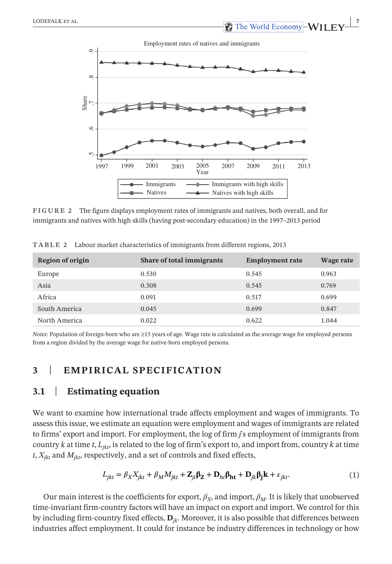**EXECUTE ALL EXECUTE ALL CODEFALK ET AL. The World Economy-WII FY** 



**FIGURE 2** The figure displays employment rates of immigrants and natives, both overall, and for immigrants and natives with high skills (having post-secondary education) in the 1997–2013 period

| <b>Region of origin</b> | <b>Share of total immigrants</b> | <b>Employment rate</b> | Wage rate |
|-------------------------|----------------------------------|------------------------|-----------|
| Europe                  | 0.530                            | 0.545                  | 0.963     |
| Asia                    | 0.308                            | 0.545                  | 0.769     |
| Africa                  | 0.091                            | 0.517                  | 0.699     |
| South America           | 0.045                            | 0.699                  | 0.847     |
| North America           | 0.022                            | 0.622                  | 1.044     |

**TABLE 2** Labour market characteristics of immigrants from different regions, 2013

*Notes:* Population of foreign-born who are ≥15 years of age. Wage rate is calculated as the average wage for employed persons from a region divided by the average wage for native-born employed persons.

# **3**  | **EMPIRICAL SPECIFICATION**

# **3.1**  | **Estimating equation**

We want to examine how international trade affects employment and wages of immigrants. To assess this issue, we estimate an equation were employment and wages of immigrants are related to firms' export and import. For employment, the log of firm *j*'s employment of immigrants from country  $k$  at time  $t$ ,  $L_{ikt}$ , is related to the log of firm's export to, and import from, country  $k$  at time  $t$ ,  $X_{ikt}$  and  $M_{ikt}$ , respectively, and a set of controls and fixed effects,

$$
L_{jkt} = \beta_X X_{jkt} + \beta_M M_{jkt} + \mathbf{Z}_{jt} \mathbf{\beta_Z} + \mathbf{D}_{ht} \mathbf{\beta_{ht}} + \mathbf{D}_{jk} \mathbf{\beta_j k} + \varepsilon_{jkt}.
$$
 (1)

Our main interest is the coefficients for export,  $\beta_X$ , and import,  $\beta_M$ . It is likely that unobserved time-invariant firm-country factors will have an impact on export and import. We control for this by including firm-country fixed effects, **D***jk*. Moreover, it is also possible that differences between industries affect employment. It could for instance be industry differences in technology or how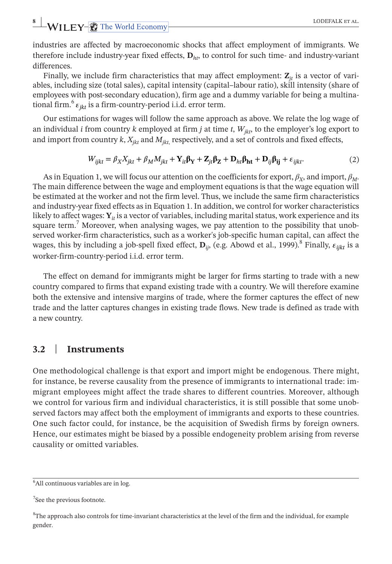# **8** WILEY-C The World Economy **LODEFALK ET AL.**

industries are affected by macroeconomic shocks that affect employment of immigrants. We therefore include industry-year fixed effects, **D***ht*, to control for such time- and industry-variant differences.

Finally, we include firm characteristics that may affect employment:  $\mathbf{Z}_{it}$  is a vector of variables, including size (total sales), capital intensity (capital–labour ratio), skill intensity (share of employees with post-secondary education), firm age and a dummy variable for being a multinational firm.<sup>6</sup>  $\varepsilon_{ikt}$  is a firm-country-period i.i.d. error term.

Our estimations for wages will follow the same approach as above. We relate the log wage of an individual *i* from country *k* employed at firm *j* at time *t*,  $W_{ikt}$ , to the employer's log export to and import from country  $k$ ,  $X_{ikt}$  and  $M_{ikt}$ , respectively, and a set of controls and fixed effects,

$$
W_{ijkt} = \beta_X X_{jkt} + \beta_M M_{jkt} + Y_{it}\beta_Y + Z_{jt}\beta_Z + D_{ht}\beta_{ht} + D_{ij}\beta_{ij} + \varepsilon_{ijkt}.
$$
 (2)

As in Equation 1, we will focus our attention on the coefficients for export,  $\beta_X$ , and import,  $\beta_M$ . The main difference between the wage and employment equations is that the wage equation will be estimated at the worker and not the firm level. Thus, we include the same firm characteristics and industry-year fixed effects as in Equation 1. In addition, we control for worker characteristics likely to affect wages:  $Y_i$  is a vector of variables, including marital status, work experience and its square term.<sup>7</sup> Moreover, when analysing wages, we pay attention to the possibility that unobserved worker-firm characteristics, such as a worker's job-specific human capital, can affect the wages, this by including a job-spell fixed effect,  $\mathbf{D}_{ii}$ , (e.g. Abowd et al., 1999).<sup>8</sup> Finally,  $\varepsilon_{iikt}$  is a worker-firm-country-period i.i.d. error term.

The effect on demand for immigrants might be larger for firms starting to trade with a new country compared to firms that expand existing trade with a country. We will therefore examine both the extensive and intensive margins of trade, where the former captures the effect of new trade and the latter captures changes in existing trade flows. New trade is defined as trade with a new country.

# **3.2**  | **Instruments**

One methodological challenge is that export and import might be endogenous. There might, for instance, be reverse causality from the presence of immigrants to international trade: immigrant employees might affect the trade shares to different countries. Moreover, although we control for various firm and individual characteristics, it is still possible that some unobserved factors may affect both the employment of immigrants and exports to these countries. One such factor could, for instance, be the acquisition of Swedish firms by foreign owners. Hence, our estimates might be biased by a possible endogeneity problem arising from reverse causality or omitted variables.

<sup>&</sup>lt;sup>6</sup>All continuous variables are in log.

<sup>&</sup>lt;sup>7</sup>See the previous footnote.

<sup>8</sup> The approach also controls for time-invariant characteristics at the level of the firm and the individual, for example gender.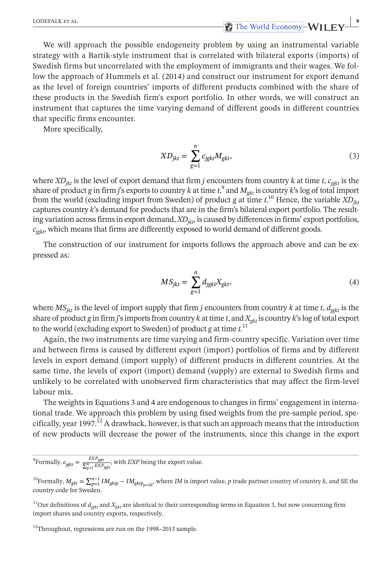**EXECUTE ET AL. CODEFALK ET AL. 99 IN 2008 PM 2009 PM 2009 PM 30 IN 2009 PM 30 PM 30 PM 30 PM 30 PM 30 PM 30 PM 30 PM 30 PM 30 PM 30 PM 30 PM 30 PM 30 PM 30 PM 30 PM 30 PM 30 PM 30 PM 30 PM 30 PM 30 PM 30 PM 30 PM 30** 

We will approach the possible endogeneity problem by using an instrumental variable strategy with a Bartik-style instrument that is correlated with bilateral exports (imports) of Swedish firms but uncorrelated with the employment of immigrants and their wages. We follow the approach of Hummels et al. (2014) and construct our instrument for export demand as the level of foreign countries' imports of different products combined with the share of these products in the Swedish firm's export portfolio. In other words, we will construct an instrument that captures the time varying demand of different goods in different countries that specific firms encounter.

More specifically,

$$
XD_{jkt} = \sum_{g=1}^{n} c_{jgkt} M_{gkt},
$$
\n(3)

where *XDjkt* is the level of export demand that firm *j* encounters from country *k* at time *t*, *cjgkt* is the share of product *g* in firm *j*'s exports to country *k* at time  $t$ ,  $\alpha$ <sup>9</sup> and  $M_{gkt}$  is country *k*'s log of total import from the world (excluding import from Sweden) of product *g* at time *t*. <sup>10</sup> Hence, the variable *XDjkt* captures country *k*'s demand for products that are in the firm's bilateral export portfolio. The resulting variation across firms in export demand,  $XD_{ik}$ , is caused by differences in firms' export portfolios, *cjgkt*, which means that firms are differently exposed to world demand of different goods.

The construction of our instrument for imports follows the approach above and can be expressed as:

$$
MS_{jkt} = \sum_{g=1}^{n} d_{jgkt} X_{gkt},
$$
\n(4)

where  $MS_{jkt}$  is the level of import supply that firm *j* encounters from country *k* at time *t*,  $d_{jgkt}$  is the share of product *g* in firm *j*'s imports from country *k* at time *t*, and  $X_{gkt}$  is country *k*'s log of total export to the world (excluding export to Sweden) of product *g* at time *t*. 11

Again, the two instruments are time varying and firm-country specific. Variation over time and between firms is caused by different export (import) portfolios of firms and by different levels in export demand (import supply) of different products in different countries. At the same time, the levels of export (import) demand (supply) are external to Swedish firms and unlikely to be correlated with unobserved firm characteristics that may affect the firm-level labour mix.

The weights in Equations 3 and 4 are endogenous to changes in firms' engagement in international trade. We approach this problem by using fixed weights from the pre-sample period, specifically, year 1997.<sup>12</sup> A drawback, however, is that such an approach means that the introduction of new products will decrease the power of the instruments, since this change in the export

<sup>9</sup> Formally,  $c_{\text{fgkt}} = \frac{EXP_{\text{fgkt}}}{\sum_{g=1}^{m} EXP_{\text{fgkt}}}$ , with *EXP* being the export value.

<sup>10</sup>Formally,  $M_{gkt} = \sum_{p=1}^{n-1} IM_{gktp} - IM_{gktp_{p=SE}}$ , where *IM* is import value, *p* trade partner country of country *k*, and SE the country code for Sweden.

<sup>11</sup>Our definitions of  $d_{i_{\text{obs}}}$  and  $X_{i_{\text{obs}}}$  are identical to their corresponding terms in Equation 3, but now concerning firm import shares and country exports, respectively.

<sup>12</sup>Throughout, regressions are run on the 1998–2013 sample.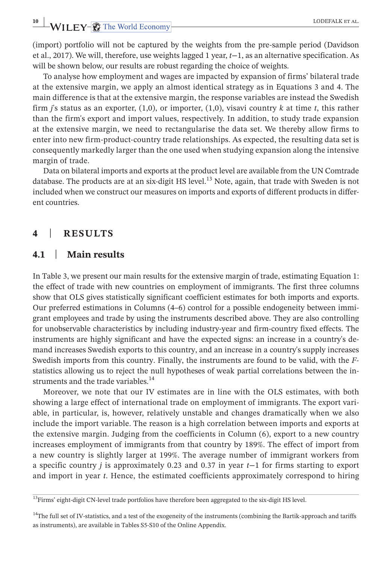**10 10 PMILEY- The World Economy CONSECTATE EXAMPLE EXAMPLE EXAMPLE EXAMPLE EXAMPLE EXAMPLE EXAMPLE EXAMPLE EXAMPLE EXAMPLE EXAMPLE EXAMPLE EXAMPLE EXAMPLE EXAMPLE EXAMPLE EXAMPLE EXAMPLE EXAMPLE EXAMPLE EXAMPLE EXAMPLE EX** 

(import) portfolio will not be captured by the weights from the pre-sample period (Davidson et al., 2017). We will, therefore, use weights lagged 1 year, *t*−1, as an alternative specification. As will be shown below, our results are robust regarding the choice of weights.

To analyse how employment and wages are impacted by expansion of firms' bilateral trade at the extensive margin, we apply an almost identical strategy as in Equations 3 and 4. The main difference is that at the extensive margin, the response variables are instead the Swedish firm *j*'s status as an exporter, (1,0), or importer, (1,0), visavi country *k* at time *t*, this rather than the firm's export and import values, respectively. In addition, to study trade expansion at the extensive margin, we need to rectangularise the data set. We thereby allow firms to enter into new firm-product-country trade relationships. As expected, the resulting data set is consequently markedly larger than the one used when studying expansion along the intensive margin of trade.

Data on bilateral imports and exports at the product level are available from the UN Comtrade database. The products are at an six-digit HS level.<sup>13</sup> Note, again, that trade with Sweden is not included when we construct our measures on imports and exports of different products in different countries.

# **4**  | **RESULTS**

# **4.1**  | **Main results**

In Table 3, we present our main results for the extensive margin of trade, estimating Equation 1: the effect of trade with new countries on employment of immigrants. The first three columns show that OLS gives statistically significant coefficient estimates for both imports and exports. Our preferred estimations in Columns (4–6) control for a possible endogeneity between immigrant employees and trade by using the instruments described above. They are also controlling for unobservable characteristics by including industry-year and firm-country fixed effects. The instruments are highly significant and have the expected signs: an increase in a country's demand increases Swedish exports to this country, and an increase in a country's supply increases Swedish imports from this country. Finally, the instruments are found to be valid, with the *F*statistics allowing us to reject the null hypotheses of weak partial correlations between the instruments and the trade variables.<sup>14</sup>

Moreover, we note that our IV estimates are in line with the OLS estimates, with both showing a large effect of international trade on employment of immigrants. The export variable, in particular, is, however, relatively unstable and changes dramatically when we also include the import variable. The reason is a high correlation between imports and exports at the extensive margin. Judging from the coefficients in Column (6), export to a new country increases employment of immigrants from that country by 189%. The effect of import from a new country is slightly larger at 199%. The average number of immigrant workers from a specific country *j* is approximately 0.23 and 0.37 in year *t*−1 for firms starting to export and import in year *t*. Hence, the estimated coefficients approximately correspond to hiring

<sup>&</sup>lt;sup>13</sup>Firms' eight-digit CN-level trade portfolios have therefore been aggregated to the six-digit HS level.

<sup>&</sup>lt;sup>14</sup>The full set of IV-statistics, and a test of the exogeneity of the instruments (combining the Bartik-approach and tariffs as instruments), are available in Tables S5-S10 of the Online Appendix.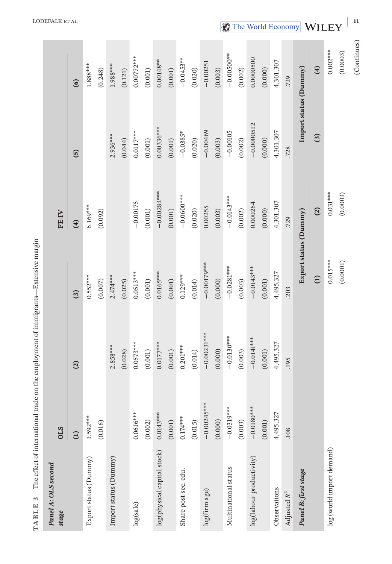| TABLE <sub>3</sub>           |                       | The effect of international trade on the employment of immigrants—Extensive margin |                       |                |                       |                       |
|------------------------------|-----------------------|------------------------------------------------------------------------------------|-----------------------|----------------|-----------------------|-----------------------|
| Panel A: OLS second<br>stage | <b>OLS</b>            |                                                                                    |                       | FE-IV          |                       |                       |
|                              | $\bigoplus$           | $\Omega$                                                                           | $\odot$               | $\mathfrak{D}$ | $\overline{5}$        | $\circ$               |
| Export status (Dummy)        | $1.592***$            |                                                                                    | $0.552***$            | $6.169***$     |                       | $1.888***$            |
|                              | (0.016)               |                                                                                    | (0.007)               | (0.092)        |                       | (0.248)               |
| Import status (Dummy)        |                       | $2.858***$                                                                         | $2.474***$            |                | 2.936***              | $1.988***$            |
|                              |                       | (0.028)                                                                            | (0.025)               |                | (0.044)               | (0.121)               |
| log(sale)                    | $0.0616***$           | $0.0573***$                                                                        | $0.0513***$           | $-0.00175$     | $0.0117***$           | $0.00772***$          |
|                              | (0.002)               | $\left( 0.001\right)$                                                              | $\left( 0.001\right)$ | (0.001)        | $\left( 0.001\right)$ | $\left( 0.001\right)$ |
| log(physical capital stock)  | $0.0143***$           | $0.0177***$                                                                        | $0.0165***$           | $-0.00284***$  | $0.00336***$          | $0.00148***$          |
|                              | $\left( 0.001\right)$ | (0.001)                                                                            | (0.001)               | (0.001)        | (0.001)               | (0.001)               |
| Share post-sec. edu.         | $0.174***$            | $0.201***$                                                                         | $0.129***$            | $-0.0600***$   | $-0.0385*$            | $-0.0453***$          |
|                              | (0.015)               | (0.014)                                                                            | (0.014)               | (0.020)        | (0.020)               | (0.020)               |
| log(firm age)                | $-0.00245***$         | $-0.00231***$                                                                      | $-0.00179***$         | 0.00255        | $-0.00469$            | $-0.00251$            |
|                              | (0.000)               | (0.000)                                                                            | (0.000)               | (0.003)        | (0.003)               | (0.003)               |
| Multinational status         | $-0.0319***$          | $-0.0130***$                                                                       | $-0.0281***$          | $-0.0143***$   | $-0.00105$            | $-0.00500**$          |
|                              | (0.003)               | (0.003)                                                                            | (0.003)               | (0.002)        | (0.002)               | (0.002)               |
| log(labour productivity)     | $-0.0180***$          | $-0.0141***$                                                                       | $-0.0143***$          | 0.000264       | $-0.0000512$          | 0.0000500             |
|                              | (0.001)               | (0.001)                                                                            | (0.001)               | (0.000)        | (0.000)               | (0.000)               |
| Observations                 | 4,495,327             | 4,495,327                                                                          | 4,495,327             | 4,301,307      | 4,301,307             | 4,301,307             |
| Adjusted R <sup>2</sup>      | .108                  | 195                                                                                | .203                  | .729           | .728                  | .729                  |
| Panel B: first stage         |                       |                                                                                    | Export status (Dummy) |                | Import status (Dummy) |                       |
|                              |                       |                                                                                    | $\ominus$             | $\mathfrak{D}$ | $\odot$               | $\mathbf{r}$          |
| log (world import demand)    |                       |                                                                                    | $0.015***$            | $0.031***$     |                       | $0.002***$            |
|                              |                       |                                                                                    | (0.0001)              | (0.0003)       |                       | (0.0003)              |
|                              |                       |                                                                                    |                       |                |                       | (Continues)           |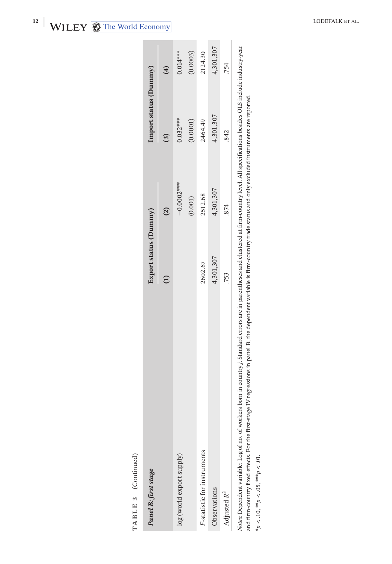| TABLE 3 (Continued)<br>Panel B: first stage                                                                                                                                                                                                                                                                                                                                        | Export status (Dummy) |                | Import status (Dummy) |                |
|------------------------------------------------------------------------------------------------------------------------------------------------------------------------------------------------------------------------------------------------------------------------------------------------------------------------------------------------------------------------------------|-----------------------|----------------|-----------------------|----------------|
|                                                                                                                                                                                                                                                                                                                                                                                    | $\widehat{\Xi}$       | $\overline{c}$ | $\overline{3}$        | $\overline{4}$ |
| log (world export supply)                                                                                                                                                                                                                                                                                                                                                          |                       | $-0.0002***$   | $0.032***$            | $0.014***$     |
|                                                                                                                                                                                                                                                                                                                                                                                    |                       | (0.001)        | (0.0001)              | (0.0003)       |
| F-statistic for instruments                                                                                                                                                                                                                                                                                                                                                        | 2602.67               | 2512.68        | 2464.49               | 2124.30        |
| Observations                                                                                                                                                                                                                                                                                                                                                                       | 4,301,307             | 4,301,307      | 4,301,307             | 4,301,307      |
| Adjusted $R^2$                                                                                                                                                                                                                                                                                                                                                                     | .753                  | .874           | .842                  | .754           |
| Notes: Dependent variable: Log of no. of workers born in country i, Standard errors are in parentheses and clustered at firm-country level. All specifications besides OLS include industry-year<br>and firm-country fixed effects. For the first-stage IV regressions in panel B, the dependent variable is firm-country trade status and only excluded instruments are reported. |                       |                |                       |                |
| * $p < .10,$ ** $p < .05,$ *** $p < .01$ .                                                                                                                                                                                                                                                                                                                                         |                       |                |                       |                |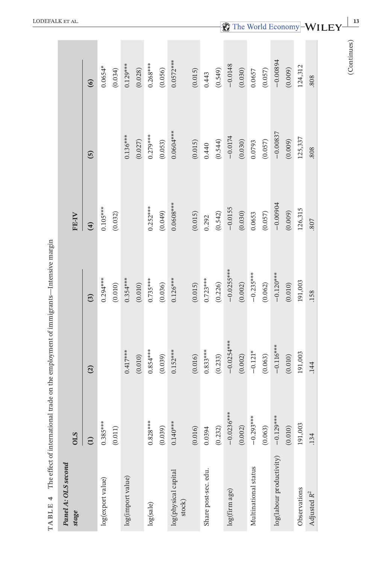| Panel A: OLS second<br>stage   | <b>OLS</b>      |                |                   | FE-IV        |                |             |
|--------------------------------|-----------------|----------------|-------------------|--------------|----------------|-------------|
|                                | $\widehat{\Xi}$ | $\overline{c}$ | $\left( 3\right)$ | $\mathbf{r}$ | $\overline{5}$ | $\circ$     |
| log(export value)              | $0.385***$      |                | $0.294***$        | $0.105***$   |                | $0.0654*$   |
|                                | (0.011)         |                | (0.010)           | (0.032)      |                | (0.034)     |
| log(import value)              |                 | $0.417***$     | $0.354***$        |              | $0.136***$     | $0.129***$  |
|                                |                 | (0.010)        | (0.010)           |              | (0.027)        | (0.028)     |
| log(sale)                      | $0.828***$      | $0.854***$     | $0.735***$        | $0.252***$   | $0.279***$     | $0.268***$  |
|                                | (0.039)         | (0.039)        | (0.036)           | (0.049)      | (0.053)        | (0.056)     |
| log(physical capital<br>stock) | $0.140***$      | $0.152***$     | $0.126***$        | $0.0608***$  | $0.0604***$    | $0.0572***$ |
|                                | (0.016)         | (0.016)        | (0.015)           | (0.015)      | (0.015)        | (0.015)     |
| Share post-sec. edu.           | 0.0394          | $0.833***$     | $0.723***$        | 0.292        | 0.440          | 0.443       |
|                                | (0.232)         | (0.233)        | (0.226)           | (0.542)      | (0.544)        | (0.549)     |
| log(firm age)                  | $-0.0236***$    | $-0.0254***$   | $-0.025$ ***      | $-0.0155$    | $-0.0174$      | $-0.0148$   |
|                                | (0.002)         | (0.002)        | (0.002)           | (0.030)      | (0.030)        | (0.030)     |
| Multinational status           | $-0.293***$     | $-0.121*$      | $-0.235***$       | 0.0653       | 0.0793         | 0.0657      |
|                                | (0.063)         | (0.063)        | (0.062)           | (0.057)      | (0.057)        | (0.057)     |
| log(labour productivity)       | $-0.129***$     | $-0.116***$    | $-0.120***$       | $-0.00904$   | $-0.00837$     | $-0.00804$  |
|                                | (0.010)         | (0.010)        | (0.010)           | (0.009)      | (0.009)        | (0.009)     |
| Observations                   | 191,003         | 191,003        | 191,003           | 126,315      | 125,337        | 124,312     |
| Adjusted R <sup>2</sup>        | .134            | .144           | .158              | 807          | 808            | 808         |
|                                |                 |                |                   |              |                | (Continues) |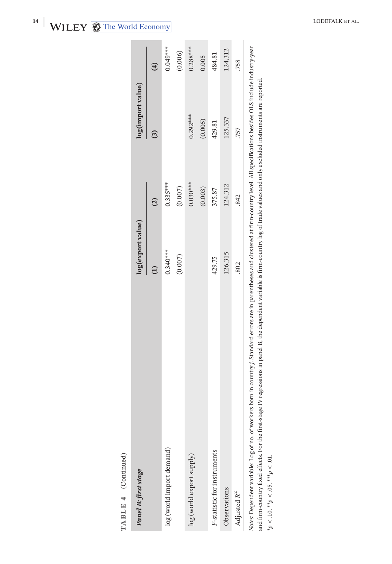| ľ |
|---|
|   |
|   |
|   |
|   |
|   |
|   |
|   |
|   |
| ⋍ |
|   |
| т |

| TABLE 4 (Continued)                                                                                                                                                                                                                                                                                                                                                                       |                   |                |                   |                |
|-------------------------------------------------------------------------------------------------------------------------------------------------------------------------------------------------------------------------------------------------------------------------------------------------------------------------------------------------------------------------------------------|-------------------|----------------|-------------------|----------------|
| Panel B: first stage                                                                                                                                                                                                                                                                                                                                                                      | log(export value) |                | log(import value) |                |
|                                                                                                                                                                                                                                                                                                                                                                                           |                   | $\overline{c}$ | <u>ි</u>          | $\overline{4}$ |
| log (world import demand)                                                                                                                                                                                                                                                                                                                                                                 | $0.340***$        | $0.335***$     |                   | $0.049***$     |
|                                                                                                                                                                                                                                                                                                                                                                                           | (0.007)           | (0.007)        |                   | (0.006)        |
| log (world export supply)                                                                                                                                                                                                                                                                                                                                                                 |                   | $0.030***$     | $0.292***$        | $0.288***$     |
|                                                                                                                                                                                                                                                                                                                                                                                           |                   | (0.003)        | (0.005)           | 0.005          |
| F-statistic for instruments                                                                                                                                                                                                                                                                                                                                                               | 429.75            | 375.87         | 429.81            | 484.81         |
| Observations                                                                                                                                                                                                                                                                                                                                                                              | 126,315           | 124,312        | 125,337           | 124,312        |
| Adjusted R <sup>2</sup>                                                                                                                                                                                                                                                                                                                                                                   | .802              | .842           | 757               | .758           |
| Notes: Dependent variable: Log of no. of workers born in country.). Standard errors are in parentheses and clustered at firm-country level. All specifications besides OLS include industry-year<br>and firm-country fixed effects. For the first-stage IV regressions in panel B, the dependent variable is firm-country log of trade values and only excluded instruments are reported. |                   |                |                   |                |
| * $p < .10,$ ** $p < .05,$ *** $p < .01$ .                                                                                                                                                                                                                                                                                                                                                |                   |                |                   |                |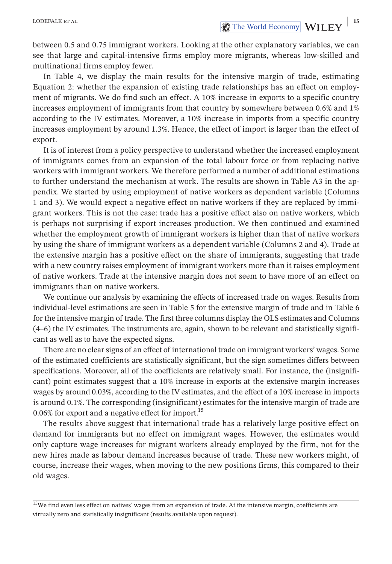between 0.5 and 0.75 immigrant workers. Looking at the other explanatory variables, we can see that large and capital-intensive firms employ more migrants, whereas low-skilled and multinational firms employ fewer.

In Table 4, we display the main results for the intensive margin of trade, estimating Equation 2: whether the expansion of existing trade relationships has an effect on employment of migrants. We do find such an effect. A 10% increase in exports to a specific country increases employment of immigrants from that country by somewhere between 0.6% and 1% according to the IV estimates. Moreover, a 10% increase in imports from a specific country increases employment by around 1.3%. Hence, the effect of import is larger than the effect of export.

It is of interest from a policy perspective to understand whether the increased employment of immigrants comes from an expansion of the total labour force or from replacing native workers with immigrant workers. We therefore performed a number of additional estimations to further understand the mechanism at work. The results are shown in Table A3 in the appendix. We started by using employment of native workers as dependent variable (Columns 1 and 3). We would expect a negative effect on native workers if they are replaced by immigrant workers. This is not the case: trade has a positive effect also on native workers, which is perhaps not surprising if export increases production. We then continued and examined whether the employment growth of immigrant workers is higher than that of native workers by using the share of immigrant workers as a dependent variable (Columns 2 and 4). Trade at the extensive margin has a positive effect on the share of immigrants, suggesting that trade with a new country raises employment of immigrant workers more than it raises employment of native workers. Trade at the intensive margin does not seem to have more of an effect on immigrants than on native workers.

We continue our analysis by examining the effects of increased trade on wages. Results from individual-level estimations are seen in Table 5 for the extensive margin of trade and in Table 6 for the intensive margin of trade. The first three columns display the OLS estimates and Columns (4–6) the IV estimates. The instruments are, again, shown to be relevant and statistically significant as well as to have the expected signs.

There are no clearsigns of an effect of international trade on immigrant workers' wages. Some of the estimated coefficients are statistically significant, but the sign sometimes differs between specifications. Moreover, all of the coefficients are relatively small. For instance, the (insignificant) point estimates suggest that a 10% increase in exports at the extensive margin increases wages by around 0.03%, according to the IV estimates, and the effect of a 10% increase in imports is around 0.1%. The corresponding (insignificant) estimates for the intensive margin of trade are 0.06% for export and a negative effect for import.<sup>15</sup>

The results above suggest that international trade has a relatively large positive effect on demand for immigrants but no effect on immigrant wages. However, the estimates would only capture wage increases for migrant workers already employed by the firm, not for the new hires made as labour demand increases because of trade. These new workers might, of course, increase their wages, when moving to the new positions firms, this compared to their old wages.

<sup>&</sup>lt;sup>15</sup>We find even less effect on natives' wages from an expansion of trade. At the intensive margin, coefficients are virtually zero and statistically insignificant (results available upon request).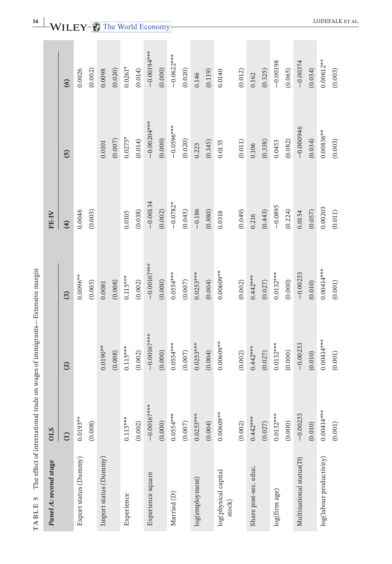| Panel A: second stage          | <b>OLS</b>    |               |                | FE-IV         |                       |               |
|--------------------------------|---------------|---------------|----------------|---------------|-----------------------|---------------|
|                                | $\widehat{E}$ | (2)           | $\overline{c}$ | $\widehat{f}$ | $\overline{5}$        | $\odot$       |
| Export status (Dummy)          | $0.0193***$   |               | $0.0096***$    | 0.0046        |                       | 0.0026        |
|                                | (0.008)       |               | (0.005)        | (0.003)       |                       | (0.002)       |
| Import status (Dummy)          |               | $0.0190***$   | 0.0081         |               | 0.0101                | 0.0098        |
|                                |               | (0.008)       | (0.008)        |               | (0.007)               | (0.020)       |
| Experience                     | $0.115***$    | $0.115***$    | $0.115***$     | 0.0105        | $0.0275*$             | $0.0261*$     |
|                                | (0.002)       | (0.002)       | (0.002)        | (0.038)       | (0.014)               | (0.014)       |
| Experience square              | $-0.00167***$ | $-0.00167***$ | $-0.00167***$  | $-0.00134$    | $-0.00204***$         | $-0.00194***$ |
|                                | (0.000)       | (0.000)       | (0.000)        | (0.002)       | (0.000)               | (0.000)       |
| Married (D)                    | $0.0554***$   | $0.0554***$   | $0.0554***$    | $-0.0782*$    | $-0.0596***$          | $-0.0622***$  |
|                                | $(0.007)$     | (0.007)       | (0.007)        | (0.045)       | (0.020)               | (0.020)       |
| log(employment)                | $0.0253***$   | $0.0253***$   | $0.0253***$    | $-0.186$      | 0.223                 | 0.146         |
|                                | (0.004)       | (0.004)       | (0.004)        | (0.880)       | (0.145)               | (0.119)       |
| log(physical capital<br>stock) | $0.00609***$  | $0.00609***$  | $0.00609***$   | 0.0318        | 0.0135                | 0.0140        |
|                                | (0.002)       | (0.002)       | (0.002)        | (0.049)       | $\left( 0.011\right)$ | (0.012)       |
| Share post-sec. educ.          | $0.442***$    | $0.442***$    | $0.442***$     | 0.216         | $0.106$               | 0.162         |
|                                | (0.027)       | (0.027)       | (0.027)        | (0.443)       | (0.338)               | (0.325)       |
| log(firm age)                  | $0.0132***$   | $0.0132***$   | $0.0132***$    | $-0.0895$     | 0.0453                | $-0.00198$    |
|                                | (0.000)       | (0.000)       | (0.000)        | (0.224)       | (0.082)               | (0.065)       |
| Multinational status(D)        | $-0.00233$    | $-0.00233$    | $-0.00233$     | 0.0154        | $-0.000946$           | $-0.00374$    |
|                                | (0.010)       | (0.010)       | (0.010)        | (0.057)       | (0.034)               | (0.034)       |
| log(labour productivity)       | $0.00414***$  | $0.00414***$  | $0.00414***$   | 0.00203       | 0.00836**             | $0.00612***$  |
|                                | (0.001)       | (0.001)       | (0.001)        | (0.011)       | (0.003)               | (0.003)       |

TABLE 5 The effect of international trade on wages of immigrants—Extensive margin **TABLE 5** The effect of international trade on wages of immigrants—Extensive margin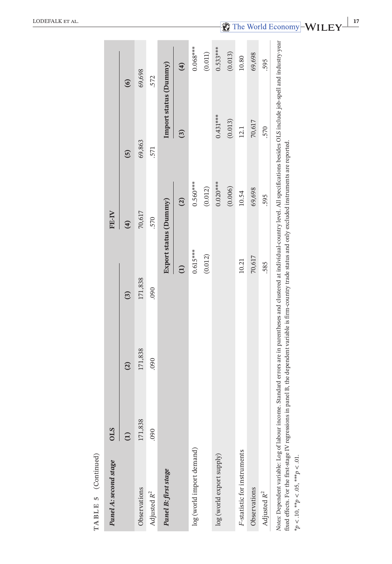| TABLE 5 (Continued)                                                                                                                                                                                                                                                                                                                                                                                              |            |                |                 |                       |                |                       |
|------------------------------------------------------------------------------------------------------------------------------------------------------------------------------------------------------------------------------------------------------------------------------------------------------------------------------------------------------------------------------------------------------------------|------------|----------------|-----------------|-----------------------|----------------|-----------------------|
| Panel A: second stage                                                                                                                                                                                                                                                                                                                                                                                            | <b>OLS</b> |                |                 | FE-IV                 |                |                       |
|                                                                                                                                                                                                                                                                                                                                                                                                                  | Ξ          | $\overline{c}$ | $\mathbf{r}$    | $\widehat{a}$         | $\overline{5}$ | $\odot$               |
| Observations                                                                                                                                                                                                                                                                                                                                                                                                     | 171,838    | 171,838        | 171,838         | 70,617                | 69,863         | 69,698                |
| Adjusted R <sup>2</sup>                                                                                                                                                                                                                                                                                                                                                                                          | 090        | 060            | 060             | .570                  | 571            | .572                  |
| Panel B: first stage                                                                                                                                                                                                                                                                                                                                                                                             |            |                |                 | Export status (Dummy) |                | Import status (Dummy) |
|                                                                                                                                                                                                                                                                                                                                                                                                                  |            |                | $\widehat{\Xi}$ | $\widehat{c}$         | $\overline{c}$ | $\hat{a}$             |
| log (world import demand)                                                                                                                                                                                                                                                                                                                                                                                        |            |                | $0.615***$      | $0.560***$            |                | $0.068***$            |
|                                                                                                                                                                                                                                                                                                                                                                                                                  |            |                | (0.012)         | (0.012)               |                | (0.011)               |
| log (world export supply)                                                                                                                                                                                                                                                                                                                                                                                        |            |                |                 | $0.020***$            | $0.431***$     | $0.533***$            |
|                                                                                                                                                                                                                                                                                                                                                                                                                  |            |                |                 | (0.006)               | (0.013)        | (0.013)               |
| F-statistic for instruments                                                                                                                                                                                                                                                                                                                                                                                      |            |                | 10.21           | 10.54                 | 12.1           | 10.80                 |
| Observations                                                                                                                                                                                                                                                                                                                                                                                                     |            |                | 70,617          | 69,698                | 70,617         | 69,698                |
| Adjusted R <sup>2</sup>                                                                                                                                                                                                                                                                                                                                                                                          |            |                | 585             | 595                   | 570            | 595                   |
| Notes: Dependent variable: Log of labour income. Standard errors are in parentheses and clustered at individual-country level. All specifications besides OLS include job-spell and industry-year<br>fixed effects. For the first-stage IV regressions in panel B, the dependent variable is firm-country trade status and only excluded instruments are reported.<br>* $p < .10,$ ** $p < .05,$ *** $p < .01$ . |            |                |                 |                       |                |                       |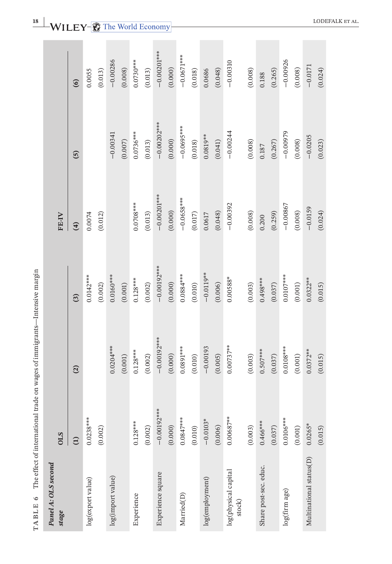| ١                      |               |
|------------------------|---------------|
|                        |               |
| くくくく<br>, , , ,<br>くへい |               |
|                        |               |
| l                      | $\frac{1}{2}$ |
| TARIE 6<br>i           | ֞֘            |

| Panel A: OLS second<br>stage   | <b>OLS</b>            |               |                | FE-IV         |                |               |
|--------------------------------|-----------------------|---------------|----------------|---------------|----------------|---------------|
|                                | $\widehat{\Xi}$       | $\widehat{c}$ | $\overline{c}$ | $(4)$         | $\overline{5}$ | $\odot$       |
| log(export value)              | $0.0238***$           |               | $0.0142***$    | 0.0074        |                | 0.0055        |
|                                | (0.002)               |               | (0.002)        | (0.012)       |                | (0.013)       |
| log(import value)              |                       | $0.0204***$   | $0.0160***$    |               | $-0.00341$     | $-0.00286$    |
|                                |                       | (0.001)       | (0.001)        |               | (0.007)        | (0.008)       |
| Experience                     | $0.128***$            | $0.128***$    | $0.128***$     | $0.0708***$   | $0.0736***$    | $0.0730***$   |
|                                | (0.002)               | (0.002)       | (0.002)        | (0.013)       | (0.013)        | (0.013)       |
| Experience square              | $-0.00192***$         | $-0.00192***$ | $-0.00192***$  | $-0.00201***$ | $-0.00202***$  | $-0.00201***$ |
|                                | (0.000)               | (0.000)       | (0.000)        | (0.000)       | (0.000)        | (0.000)       |
| Married(D)                     | $0.0847***$           | $0.0891***$   | 0.0884 ***     | $-0.0658***$  | $-0.0695***$   | $-0.0671***$  |
|                                | (0.010)               | (0.010)       | (0.010)        | (0.017)       | (0.018)        | (0.018)       |
| log(employment)                | $-0.0103*$            | $-0.00193$    | $-0.0119***$   | 0.0617        | $0.0819***$    | 0.0686        |
|                                | (0.006)               | (0.005)       | (0.006)        | (0.048)       | (0.041)        | (0.048)       |
| log(physical capital<br>stock) | $0.00687***$          | $0.00737***$  | $0.00588*$     | $-0.00392$    | $-0.00244$     | $-0.00310$    |
|                                | (0.003)               | (0.003)       | (0.003)        | (0.008)       | (0.008)        | (0.008)       |
| Share post-sec. educ.          | $0.466***$            | $0.507***$    | $0.498***$     | 0.200         | $0.187$        | $0.188\,$     |
|                                | (0.037)               | (0.037)       | (0.037)        | (0.259)       | (0.267)        | (0.265)       |
| log(firm age)                  | $0.0106***$           | $0.0108***$   | $0.0107***$    | $-0.00867$    | $-0.00979$     | $-0.00926$    |
|                                | $\left( 0.001\right)$ | $(0.001)$     | (0.001)        | (0.008)       | (0.008)        | (0.008)       |
| Multinational status(D)        | $0.0265*$             | $0.0372***$   | $0.0322***$    | $-0.0159$     | $-0.0205$      | $-0.0171$     |
|                                | (0.015)               | (0.015)       | (0.015)        | (0.024)       | (0.023)        | (0.024)       |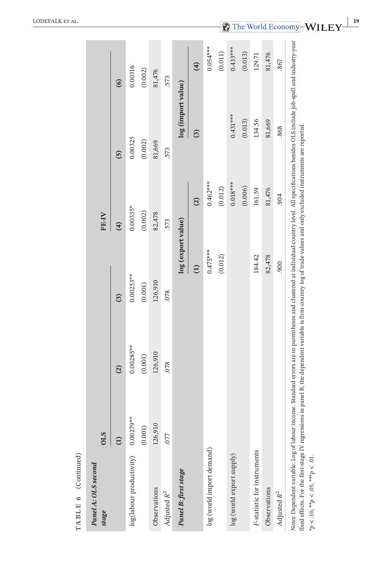| Panel A: OLS second<br>stage | <b>OLS</b>           |                         |                         | FE-IV                 |                    |                       |
|------------------------------|----------------------|-------------------------|-------------------------|-----------------------|--------------------|-----------------------|
|                              | $\widehat{\Xi}$      | $\widehat{c}$           | $\binom{3}{2}$          | $\overline{4}$        | $\overline{5}$     | $\odot$               |
| log(labour productivity)     | 0.00279**<br>(0.001) | $0.00285***$<br>(0.001) | $0.00253***$<br>(0.001) | $0.00335*$<br>(0.002) | 0.00325<br>(0.002) | 0.00316<br>(0.002)    |
| Observations                 | 126,910              | 126,910                 | 126,910                 | 82,478                | 81,669             | 81,476                |
| Adjusted R <sup>2</sup>      | .077                 | .078                    | .078                    | 573                   | .573               | 573                   |
| Panel B: first stage         |                      |                         | log (export value)      |                       | log (import value) |                       |
|                              |                      |                         | $\widehat{\Xi}$         | $\widehat{c}$         | $\mathfrak{S}$     | $\hat{a}$             |
| log (world import demand)    |                      |                         | $0.475***$              | $0.462***$            |                    | $0.054***$            |
|                              |                      |                         | (0.012)                 | (0.012)               |                    | $\left( 0.011\right)$ |
| log (world export supply)    |                      |                         |                         | $0.018***$            | $0.431***$         | $0.433***$            |
|                              |                      |                         |                         | (0.006)               | (0.013)            | (0.013)               |
| F-statistic for instruments  |                      |                         | 184.42                  | 161.59                | 134.56             | 129.71                |
| Observations                 |                      |                         | 82,478                  | 81,476                | 81,669             | 81,476                |
| Adjusted $R^2$               |                      |                         | 006.                    | .904                  | .868               | .867                  |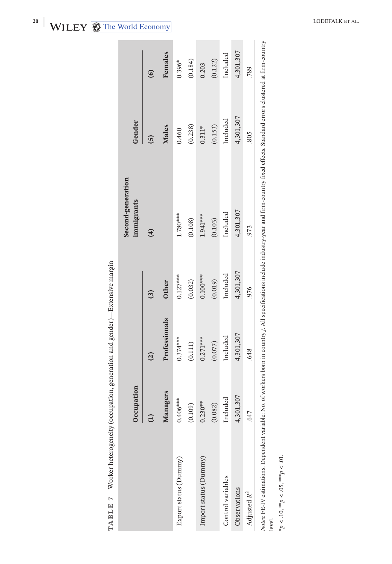| ١                    |  |
|----------------------|--|
|                      |  |
| י<br>י               |  |
|                      |  |
|                      |  |
|                      |  |
| ţ                    |  |
|                      |  |
| l                    |  |
| ¢                    |  |
|                      |  |
| )                    |  |
|                      |  |
|                      |  |
|                      |  |
|                      |  |
|                      |  |
|                      |  |
| <b>Contract</b><br>١ |  |
| I                    |  |
|                      |  |
| ı                    |  |
|                      |  |
| Ï                    |  |
| $\frac{1}{2}$        |  |
|                      |  |
|                      |  |
| ١                    |  |
| j                    |  |
|                      |  |
|                      |  |
|                      |  |
| l<br>ļ               |  |
| i                    |  |
|                      |  |
| l                    |  |
| ļ                    |  |
|                      |  |
| i<br>F               |  |
|                      |  |
|                      |  |

|                                            | Occupation    |                |                | Second-generation<br>immigrants                                                                                                                                                                    | Gender         |           |
|--------------------------------------------|---------------|----------------|----------------|----------------------------------------------------------------------------------------------------------------------------------------------------------------------------------------------------|----------------|-----------|
|                                            | $\widehat{E}$ | $\overline{c}$ | $\overline{3}$ | $\mathbf{r}$                                                                                                                                                                                       | $\overline{5}$ | $\odot$   |
|                                            | Managers      | Professionals  | <b>Other</b>   |                                                                                                                                                                                                    | <b>Males</b>   | Females   |
| Export status (Dummy)                      | $0.406***$    | $0.374***$     | $0.127***$     | 1.780***                                                                                                                                                                                           | 0.460          | $0.396*$  |
|                                            | (0.109)       | $(0.111)$      | (0.032)        | (0.108)                                                                                                                                                                                            | (0.238)        | (0.184)   |
| Import status (Dummy)                      | $0.230**$     | $0.271***$     | $0.100***$     | $1.941***$                                                                                                                                                                                         | $0.311*$       | 0.203     |
|                                            | (0.082)       | (0.077)        | (0.019)        | (0.103)                                                                                                                                                                                            | (0.153)        | (0.122)   |
| Control variables                          | Included      | Included       | Included       | Included                                                                                                                                                                                           | Included       | Included  |
| Observations                               | 4,301,307     | 4,301,307      | 4,301,307      | 4,301,307                                                                                                                                                                                          | 4,301,307      | 4,301,307 |
| Adjusted R <sup>2</sup>                    | .647          | .648           | .976           | .973                                                                                                                                                                                               | .805           | .789      |
| level.                                     |               |                |                | Notes: FE-IV estimations. Dependent variable: No. of workers born in country j. All specifications include industry-year and firm-country fixed effects. Standard errors clustered at firm-country |                |           |
| * $p < .10,$ ** $p < .05,$ *** $p < .01$ . |               |                |                |                                                                                                                                                                                                    |                |           |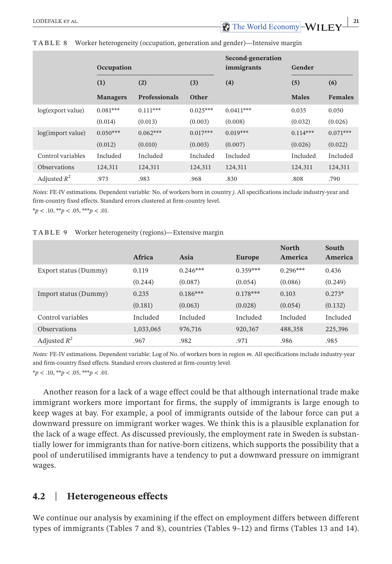|                     | Occupation      |                      |            | Second-generation<br>immigrants | Gender       |                |
|---------------------|-----------------|----------------------|------------|---------------------------------|--------------|----------------|
|                     | (1)             | (2)                  | (3)        | (4)                             | (5)          | (6)            |
|                     | <b>Managers</b> | <b>Professionals</b> | Other      |                                 | <b>Males</b> | <b>Females</b> |
| log(export value)   | $0.081***$      | $0.111***$           | $0.025***$ | $0.0411***$                     | 0.035        | 0.050          |
|                     | (0.014)         | (0.013)              | (0.003)    | (0.008)                         | (0.032)      | (0.026)        |
| log(import value)   | $0.050***$      | $0.062***$           | $0.017***$ | $0.019***$                      | $0.114***$   | $0.071***$     |
|                     | (0.012)         | (0.010)              | (0.003)    | (0.007)                         | (0.026)      | (0.022)        |
| Control variables   | Included        | Included             | Included   | Included                        | Included     | Included       |
| <b>Observations</b> | 124,311         | 124,311              | 124,311    | 124,311                         | 124,311      | 124,311        |
| Adjusted $R^2$      | .973            | .983                 | .968       | .830                            | .808         | .790           |

#### **TABLE 8** Worker heterogeneity (occupation, generation and gender)—Intensive margin

*Notes:* FE-IV estimations. Dependent variable: No. of workers born in country *j*. All specifications include industry-year and firm-country fixed effects. Standard errors clustered at firm-country level. \**p* < .10, \*\**p* < .05, \*\*\**p* < .01.

#### **TABLE 9** Worker heterogeneity (regions)—Extensive margin

|                       | Africa    | Asia       | <b>Europe</b> | <b>North</b><br>America | South<br>America |
|-----------------------|-----------|------------|---------------|-------------------------|------------------|
|                       |           |            |               |                         |                  |
| Export status (Dummy) | 0.119     | $0.246***$ | $0.359***$    | $0.296***$              | 0.436            |
|                       | (0.244)   | (0.087)    | (0.054)       | (0.086)                 | (0.249)          |
| Import status (Dummy) | 0.235     | $0.186***$ | $0.178***$    | 0.103                   | $0.273*$         |
|                       | (0.181)   | (0.063)    | (0.028)       | (0.054)                 | (0.132)          |
| Control variables     | Included  | Included   | Included      | Included                | Included         |
| <b>Observations</b>   | 1,033,065 | 976,716    | 920,367       | 488,358                 | 225,396          |
| Adjusted $R^2$        | .967      | .982       | .971          | .986                    | .985             |

*Notes:* FE-IV estimations. Dependent variable: Log of No. of workers born in region *m*. All specifications include industry-year and firm-country fixed effects. Standard errors clustered at firm-country level.

\**p* < .10, \*\**p* < .05, \*\*\**p* < .01.

Another reason for a lack of a wage effect could be that although international trade make immigrant workers more important for firms, the supply of immigrants is large enough to keep wages at bay. For example, a pool of immigrants outside of the labour force can put a downward pressure on immigrant worker wages. We think this is a plausible explanation for the lack of a wage effect. As discussed previously, the employment rate in Sweden is substantially lower for immigrants than for native-born citizens, which supports the possibility that a pool of underutilised immigrants have a tendency to put a downward pressure on immigrant wages.

# **4.2**  | **Heterogeneous effects**

We continue our analysis by examining if the effect on employment differs between different types of immigrants (Tables 7 and 8), countries (Tables 9–12) and firms (Tables 13 and 14).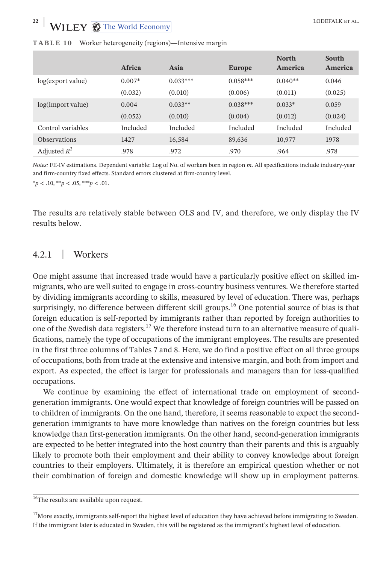|                     | Africa   | Asia       | <b>Europe</b> | <b>North</b><br>America | South<br>America |
|---------------------|----------|------------|---------------|-------------------------|------------------|
| log(export value)   | $0.007*$ | $0.033***$ | $0.058***$    | $0.040**$               | 0.046            |
|                     | (0.032)  | (0.010)    | (0.006)       | (0.011)                 | (0.025)          |
| log(import value)   | 0.004    | $0.033**$  | $0.038***$    | $0.033*$                | 0.059            |
|                     | (0.052)  | (0.010)    | (0.004)       | (0.012)                 | (0.024)          |
| Control variables   | Included | Included   | Included      | Included                | Included         |
| <b>Observations</b> | 1427     | 16.584     | 89.636        | 10,977                  | 1978             |
| Adjusted $R^2$      | .978     | .972       | .970          | .964                    | .978             |

#### **TABLE 10** Worker heterogeneity (regions)—Intensive margin

*Notes:* FE-IV estimations. Dependent variable: Log of No. of workers born in region *m*. All specifications include industry-year and firm-country fixed effects. Standard errors clustered at firm-country level.

\**p* < .10, \*\**p* < .05, \*\*\**p* < .01.

The results are relatively stable between OLS and IV, and therefore, we only display the IV results below.

# 4.2.1 | Workers

One might assume that increased trade would have a particularly positive effect on skilled immigrants, who are well suited to engage in cross-country business ventures. We therefore started by dividing immigrants according to skills, measured by level of education. There was, perhaps surprisingly, no difference between different skill groups.<sup>16</sup> One potential source of bias is that foreign education is self-reported by immigrants rather than reported by foreign authorities to one of the Swedish data registers.<sup>17</sup> We therefore instead turn to an alternative measure of qualifications, namely the type of occupations of the immigrant employees. The results are presented in the first three columns of Tables 7 and 8. Here, we do find a positive effect on all three groups of occupations, both from trade at the extensive and intensive margin, and both from import and export. As expected, the effect is larger for professionals and managers than for less-qualified occupations.

We continue by examining the effect of international trade on employment of secondgeneration immigrants. One would expect that knowledge of foreign countries will be passed on to children of immigrants. On the one hand, therefore, it seems reasonable to expect the secondgeneration immigrants to have more knowledge than natives on the foreign countries but less knowledge than first-generation immigrants. On the other hand, second-generation immigrants are expected to be better integrated into the host country than their parents and this is arguably likely to promote both their employment and their ability to convey knowledge about foreign countries to their employers. Ultimately, it is therefore an empirical question whether or not their combination of foreign and domestic knowledge will show up in employment patterns.

 $17$ More exactly, immigrants self-report the highest level of education they have achieved before immigrating to Sweden. If the immigrant later is educated in Sweden, this will be registered as the immigrant's highest level of education.

 $\frac{16}{16}$ The results are available upon request.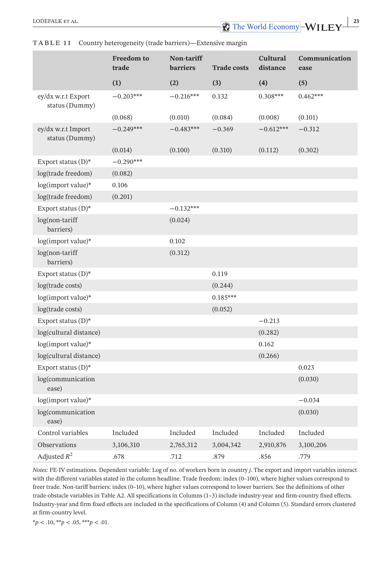|                                      | <b>Freedom</b> to<br>trade | Non-tariff<br><b>barriers</b> | <b>Trade costs</b> | <b>Cultural</b><br>distance | Communication<br>ease |
|--------------------------------------|----------------------------|-------------------------------|--------------------|-----------------------------|-----------------------|
|                                      | (1)                        | (2)                           | (3)                | (4)                         | (5)                   |
| ey/dx w.r.t Export<br>status (Dummy) | $-0.203***$                | $-0.216***$                   | 0.132              | $0.308***$                  | $0.462***$            |
|                                      | (0.068)                    | (0.010)                       | (0.084)            | (0.008)                     | (0.101)               |
| ey/dx w.r.t Import<br>status (Dummy) | $-0.249***$                | $-0.483***$                   | $-0.369$           | $-0.612***$                 | $-0.312$              |
|                                      | (0.014)                    | (0.100)                       | (0.310)            | (0.112)                     | (0.302)               |
| Export status $(D)^*$                | $-0.290***$                |                               |                    |                             |                       |
| log(trade freedom)                   | (0.082)                    |                               |                    |                             |                       |
| log(import value)*                   | 0.106                      |                               |                    |                             |                       |
| log(trade freedom)                   | (0.201)                    |                               |                    |                             |                       |
| Export status $(D)^*$                |                            | $-0.132***$                   |                    |                             |                       |
| log(non-tariff<br>barriers)          |                            | (0.024)                       |                    |                             |                       |
| log(import value)*                   |                            | 0.102                         |                    |                             |                       |
| log(non-tariff<br>barriers)          |                            | (0.312)                       |                    |                             |                       |
| Export status $(D)^*$                |                            |                               | 0.119              |                             |                       |
| log(trade costs)                     |                            |                               | (0.244)            |                             |                       |
| log(import value)*                   |                            |                               | $0.185***$         |                             |                       |
| log(trade costs)                     |                            |                               | (0.052)            |                             |                       |
| Export status $(D)^*$                |                            |                               |                    | $-0.213$                    |                       |
| log(cultural distance)               |                            |                               |                    | (0.282)                     |                       |
| log(import value)*                   |                            |                               |                    | 0.162                       |                       |
| log(cultural distance)               |                            |                               |                    | (0.266)                     |                       |
| Export status $(D)^*$                |                            |                               |                    |                             | 0.023                 |
| log(communication<br>ease)           |                            |                               |                    |                             | (0.030)               |
| log(import value)*                   |                            |                               |                    |                             | $-0.034$              |
| log(communication<br>ease)           |                            |                               |                    |                             | (0.030)               |
| Control variables                    | Included                   | Included                      | Included           | Included                    | Included              |
| Observations                         | 3,106,310                  | 2,765,312                     | 3,004,342          | 2,910,876                   | 3,100,206             |
| Adjusted $R^2$                       | .678                       | .712                          | .879               | .856                        | .779                  |

#### **TABLE 1 1** Country heterogeneity (trade barriers)—Extensive margin

*Notes:* FE-IV estimations. Dependent variable: Log of no. of workers born in country *j*. The export and import variables interact with the different variables stated in the column headline. Trade freedom: index (0–100), where higher values correspond to freer trade. Non-tariff barriers: index (0–10), where higher values correspond to lower barriers. See the definitions of other trade-obstacle variables in Table A2. All specifications in Columns (1–3) include industry-year and firm-country fixed effects. Industry-year and firm fixed effects are included in the specifications of Column (4) and Column (5). Standard errors clustered at firm-country level.

\**p* < .10, \*\**p* < .05, \*\*\**p* < .01.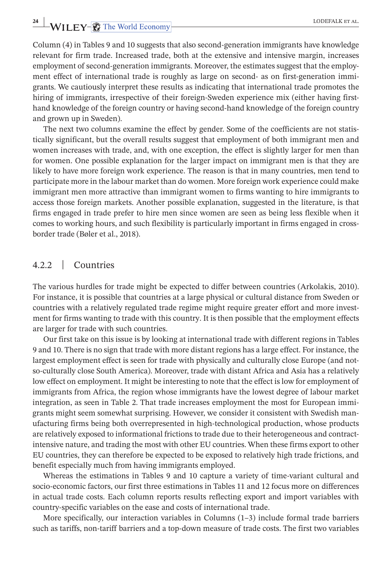# **24 WILEY- C** The World Economy **CODEFALK ET AL.**

Column (4) in Tables 9 and 10 suggests that also second-generation immigrants have knowledge relevant for firm trade. Increased trade, both at the extensive and intensive margin, increases employment of second-generation immigrants. Moreover, the estimates suggest that the employment effect of international trade is roughly as large on second- as on first-generation immigrants. We cautiously interpret these results as indicating that international trade promotes the hiring of immigrants, irrespective of their foreign-Sweden experience mix (either having firsthand knowledge of the foreign country or having second-hand knowledge of the foreign country and grown up in Sweden).

The next two columns examine the effect by gender. Some of the coefficients are not statistically significant, but the overall results suggest that employment of both immigrant men and women increases with trade, and, with one exception, the effect is slightly larger for men than for women. One possible explanation for the larger impact on immigrant men is that they are likely to have more foreign work experience. The reason is that in many countries, men tend to participate more in the labour market than do women. More foreign work experience could make immigrant men more attractive than immigrant women to firms wanting to hire immigrants to access those foreign markets. Another possible explanation, suggested in the literature, is that firms engaged in trade prefer to hire men since women are seen as being less flexible when it comes to working hours, and such flexibility is particularly important in firms engaged in crossborder trade (Bøler et al., 2018).

## 4.2.2 | Countries

The various hurdles for trade might be expected to differ between countries (Arkolakis, 2010). For instance, it is possible that countries at a large physical or cultural distance from Sweden or countries with a relatively regulated trade regime might require greater effort and more investment for firms wanting to trade with this country. It is then possible that the employment effects are larger for trade with such countries.

Our first take on this issue is by looking at international trade with different regions in Tables 9 and 10. There is no sign that trade with more distant regions has a large effect. For instance, the largest employment effect is seen for trade with physically and culturally close Europe (and notso-culturally close South America). Moreover, trade with distant Africa and Asia has a relatively low effect on employment. It might be interesting to note that the effect is low for employment of immigrants from Africa, the region whose immigrants have the lowest degree of labour market integration, as seen in Table 2. That trade increases employment the most for European immigrants might seem somewhat surprising. However, we consider it consistent with Swedish manufacturing firms being both overrepresented in high-technological production, whose products are relatively exposed to informational frictions to trade due to their heterogeneous and contractintensive nature, and trading the most with other EU countries. When these firms export to other EU countries, they can therefore be expected to be exposed to relatively high trade frictions, and benefit especially much from having immigrants employed.

Whereas the estimations in Tables 9 and 10 capture a variety of time-variant cultural and socio-economic factors, our first three estimations in Tables 11 and 12 focus more on differences in actual trade costs. Each column reports results reflecting export and import variables with country-specific variables on the ease and costs of international trade.

More specifically, our interaction variables in Columns (1–3) include formal trade barriers such as tariffs, non-tariff barriers and a top-down measure of trade costs. The first two variables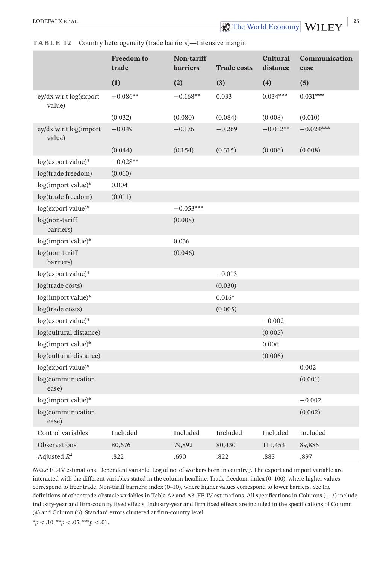#### **Freedom to trade Non-tariff barriers Trade costs Cultural distance Communication ease (1) (2) (3) (4) (5)** ey/dx w.r.t log(export value)  $-0.086**$   $-0.168**$  0.033 0.034\*\*\* 0.031\*\*\*  $(0.032)$   $(0.080)$   $(0.084)$   $(0.008)$   $(0.010)$ ey/dx w.r.t log(import value)  $-0.049$   $-0.176$   $-0.269$   $-0.012**$   $-0.024***$  $(0.044)$   $(0.154)$   $(0.315)$   $(0.006)$   $(0.008)$ log(export value)\* −0.028\*\* log(trade freedom) (0.010) log(import value)\* 0.004 log(trade freedom) (0.011) log(export value)\* −0.053\*\*\* log(non-tariff barriers) (0.008) log(import value)\* 0.036 log(non-tariff barriers)  $(0.046)$ log(export value)\* −0.013 log(trade costs) (0.030) log(import value)\* 0.016\* log(trade costs) (0.005) log(export value)\* −0.002 log(cultural distance) (0.005) log(import value)\* 0.006 log(cultural distance) (0.006) log(export value)\* 0.002 log(communication ease) (0.001) log(import value)\* −0.002 log(communication ease) (0.002) Control variables Included Included Included Included Included Observations 80,676 79,892 80,430 111,453 89,885 Adjusted  $R^2$  .822 .690 .822 .883 .897

#### **TABLE 12** Country heterogeneity (trade barriers)—Intensive margin

*Notes:* FE-IV estimations. Dependent variable: Log of no. of workers born in country *j*. The export and import variable are interacted with the different variables stated in the column headline. Trade freedom: index (0–100), where higher values correspond to freer trade. Non-tariff barriers: index (0–10), where higher values correspond to lower barriers. See the definitions of other trade-obstacle variables in Table A2 and A3. FE-IV estimations. All specifications in Columns (1–3) include industry-year and firm-country fixed effects. Industry-year and firm fixed effects are included in the specifications of Column (4) and Column (5). Standard errors clustered at firm-country level.

\**p* < .10, \*\**p* < .05, \*\*\**p* < .01.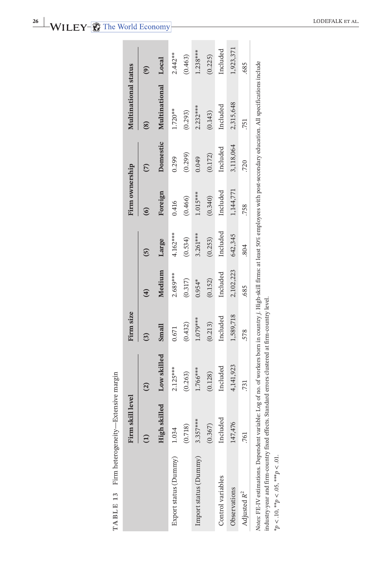| l<br>J<br>$\frac{1}{2}$<br>l<br>l<br>í<br>í<br>l<br>i<br>i<br>California<br>ı<br>)<br>ı<br>I<br>í<br>í<br>١<br>ł | ¢ |
|------------------------------------------------------------------------------------------------------------------|---|
|                                                                                                                  |   |
|                                                                                                                  |   |
|                                                                                                                  |   |
|                                                                                                                  |   |
|                                                                                                                  |   |
|                                                                                                                  | F |

|                                                                                                                                                                                              | level<br>Firm skill |               | Firm size |           |            | Firm ownership |           | Multinational status                                                                                                                        |            |
|----------------------------------------------------------------------------------------------------------------------------------------------------------------------------------------------|---------------------|---------------|-----------|-----------|------------|----------------|-----------|---------------------------------------------------------------------------------------------------------------------------------------------|------------|
|                                                                                                                                                                                              |                     | $\widehat{c}$ | ධි        | €         | ຼິດ        | ල              | E         | $\circledS$                                                                                                                                 | $\odot$    |
|                                                                                                                                                                                              | ed<br>High skill    | Low skilled   | Small     | Medium    | Large      | Foreign        | Domestic  | Multinational                                                                                                                               | Local      |
| Export status (Dummy)                                                                                                                                                                        | 1.034               | $2.125***$    | 0.671     | 2.689***  | 4.162****  | 0.416          | 0.299     | $1.720**$                                                                                                                                   | $2.442***$ |
|                                                                                                                                                                                              | (0.718)             | (0.263)       | (0.432)   | (0.317)   | (0.534)    | (0.466)        | (0.299)   | (0.293)                                                                                                                                     | (0.463)    |
| Import status (Dummy)                                                                                                                                                                        | $3.357***$          | 1.766***      | 1.079***  | $0.954*$  | $3.261***$ | $1.015***$     | 0.049     | $2.232***$                                                                                                                                  | $1.238***$ |
|                                                                                                                                                                                              | (0.367)             | (0.128)       | (0.213)   | (0.152)   | (0.253)    | (0.340)        | (0.172)   | (0.143)                                                                                                                                     | (0.225)    |
| Control variables                                                                                                                                                                            | Included            | Included      | Included  | Included  | Included   | Included       | Included  | Included                                                                                                                                    | Included   |
| Observations                                                                                                                                                                                 | 147,476             | 4,141,923     | 1,589,718 | 2,102,223 | 642,345    | 1,144,771      | 3,118,064 | 2,315,648                                                                                                                                   | 1,923,371  |
| Adjusted $R^2$                                                                                                                                                                               | .761                | 731           | 578       | .685      | .804       | 758            | 720       | 751                                                                                                                                         | .685       |
| industry-year and firm-country fixed effects. Standard errors clustered at firm-country level.<br>Notes: FE-IV estimations. Dependent variable:<br>* $p < 10,$ ** $p < 0.05,$ *** $p < 01$ . |                     |               |           |           |            |                |           | Log of no. of workers born in country j. High-skill firms: at least 50% employees with post-secondary education. All specifications include |            |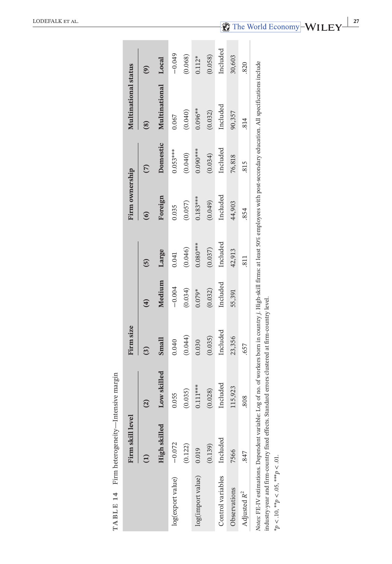|                                                                                                                                                                                                                                                                                             | Firm skill level |               | Firm size              |               |                 | Firm ownership |                         | Multinational status |                                                |
|---------------------------------------------------------------------------------------------------------------------------------------------------------------------------------------------------------------------------------------------------------------------------------------------|------------------|---------------|------------------------|---------------|-----------------|----------------|-------------------------|----------------------|------------------------------------------------|
|                                                                                                                                                                                                                                                                                             |                  | $\widehat{c}$ | $\widehat{\mathbf{C}}$ | $\widehat{a}$ | ຼົດ             |                | $\widehat{\mathcal{L}}$ | $\circledS$          | $\left( \begin{matrix} 9 \end{matrix} \right)$ |
|                                                                                                                                                                                                                                                                                             | High skilled     | Low skilled   | Small                  | Medium        | Large           | Foreign        | Domestic                | Multinational        | Local                                          |
| log(export value)                                                                                                                                                                                                                                                                           | $-0.072$         | 0.055         | 0.040                  | $-0.004$      | 0.041           | 0.035          | $0.053***$              | 0.067                | $-0.049$                                       |
|                                                                                                                                                                                                                                                                                             | (0.122)          | (0.035)       | (0.044)                | (0.034)       | (0.046)         | (0.057)        | (0.040)                 | (0.040)              | (0.068)                                        |
| log(import value)                                                                                                                                                                                                                                                                           | 0.019            | $0.111***$    | 0.030                  | $0.079*$      | $0.080***$      | $0.183***$     | $0.090***$              | $0.096***$           | $0.112*$                                       |
|                                                                                                                                                                                                                                                                                             | (0.139)          | (0.028)       | (0.035)                | (0.032)       | (0.037)         | (0.049)        | (0.034)                 | (0.032)              | (0.058)                                        |
| Control variables                                                                                                                                                                                                                                                                           | Included         | Included      | Included               | Included      | Included        | Included       | Included                | Included             | Included                                       |
| Observations                                                                                                                                                                                                                                                                                | 7566             | 115,923       | 23,356                 | 55,391        | 42,913          | 44,903         | 76,818                  | 90,357               | 30,603                                         |
| Adjusted R <sup>2</sup>                                                                                                                                                                                                                                                                     | .847             | .808          | 657                    |               | $\overline{11}$ | 854            | .815                    | 814                  | 820                                            |
| Notes: FE-IV estimations. Dependent variable: Log of no. of workers born in country j. High-skill firms: at least 50% employees with post-secondary education. All specifications include<br>industry-year and firm-country fixed effects. Standard errors clustered at firm-country level. |                  |               |                        |               |                 |                |                         |                      |                                                |
| * $p < 10$ , ** $p < 0.05$ , *** $p < 01$ .                                                                                                                                                                                                                                                 |                  |               |                        |               |                 |                |                         |                      |                                                |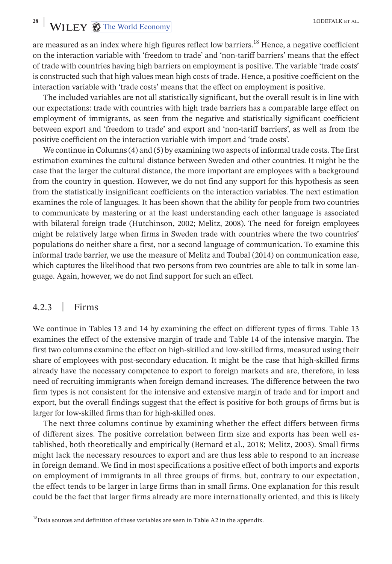**28 WILEY- C** The World Economy **CODEFALK ET AL.** 

are measured as an index where high figures reflect low barriers.<sup>18</sup> Hence, a negative coefficient on the interaction variable with 'freedom to trade' and 'non-tariff barriers' means that the effect of trade with countries having high barriers on employment is positive. The variable 'trade costs' is constructed such that high values mean high costs of trade. Hence, a positive coefficient on the interaction variable with 'trade costs' means that the effect on employment is positive.

The included variables are not all statistically significant, but the overall result is in line with our expectations: trade with countries with high trade barriers has a comparable large effect on employment of immigrants, as seen from the negative and statistically significant coefficient between export and 'freedom to trade' and export and 'non-tariff barriers', as well as from the positive coefficient on the interaction variable with import and 'trade costs'.

We continue in Columns(4) and (5) by examining two aspects of informal trade costs. The first estimation examines the cultural distance between Sweden and other countries. It might be the case that the larger the cultural distance, the more important are employees with a background from the country in question. However, we do not find any support for this hypothesis as seen from the statistically insignificant coefficients on the interaction variables. The next estimation examines the role of languages. It has been shown that the ability for people from two countries to communicate by mastering or at the least understanding each other language is associated with bilateral foreign trade (Hutchinson, 2002; Melitz, 2008). The need for foreign employees might be relatively large when firms in Sweden trade with countries where the two countries' populations do neither share a first, nor a second language of communication. To examine this informal trade barrier, we use the measure of Melitz and Toubal (2014) on communication ease, which captures the likelihood that two persons from two countries are able to talk in some language. Again, however, we do not find support for such an effect.

# 4.2.3 | Firms

We continue in Tables 13 and 14 by examining the effect on different types of firms. Table 13 examines the effect of the extensive margin of trade and Table 14 of the intensive margin. The first two columns examine the effect on high-skilled and low-skilled firms, measured using their share of employees with post-secondary education. It might be the case that high-skilled firms already have the necessary competence to export to foreign markets and are, therefore, in less need of recruiting immigrants when foreign demand increases. The difference between the two firm types is not consistent for the intensive and extensive margin of trade and for import and export, but the overall findings suggest that the effect is positive for both groups of firms but is larger for low-skilled firms than for high-skilled ones.

The next three columns continue by examining whether the effect differs between firms of different sizes. The positive correlation between firm size and exports has been well established, both theoretically and empirically (Bernard et al., 2018; Melitz, 2003). Small firms might lack the necessary resources to export and are thus less able to respond to an increase in foreign demand. We find in most specifications a positive effect of both imports and exports on employment of immigrants in all three groups of firms, but, contrary to our expectation, the effect tends to be larger in large firms than in small firms. One explanation for this result could be the fact that larger firms already are more internationally oriented, and this is likely

<sup>&</sup>lt;sup>18</sup>Data sources and definition of these variables are seen in Table A2 in the appendix.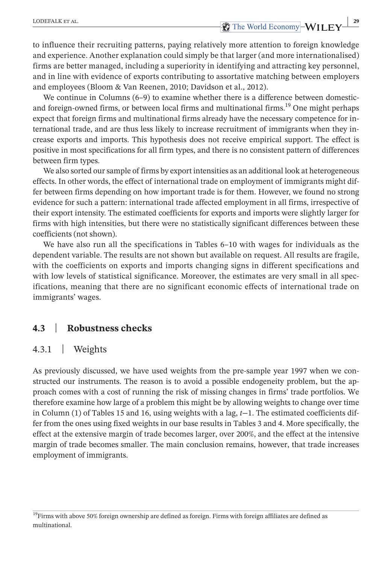to influence their recruiting patterns, paying relatively more attention to foreign knowledge and experience. Another explanation could simply be that larger (and more internationalised) firms are better managed, including a superiority in identifying and attracting key personnel, and in line with evidence of exports contributing to assortative matching between employers and employees (Bloom & Van Reenen, 2010; Davidson et al., 2012).

We continue in Columns (6–9) to examine whether there is a difference between domesticand foreign-owned firms, or between local firms and multinational firms.<sup>19</sup> One might perhaps expect that foreign firms and multinational firms already have the necessary competence for international trade, and are thus less likely to increase recruitment of immigrants when they increase exports and imports. This hypothesis does not receive empirical support. The effect is positive in most specifications for all firm types, and there is no consistent pattern of differences between firm types.

We also sorted our sample of firms by export intensities as an additional look at heterogeneous effects. In other words, the effect of international trade on employment of immigrants might differ between firms depending on how important trade is for them. However, we found no strong evidence for such a pattern: international trade affected employment in all firms, irrespective of their export intensity. The estimated coefficients for exports and imports were slightly larger for firms with high intensities, but there were no statistically significant differences between these coefficients (not shown).

We have also run all the specifications in Tables 6–10 with wages for individuals as the dependent variable. The results are not shown but available on request. All results are fragile, with the coefficients on exports and imports changing signs in different specifications and with low levels of statistical significance. Moreover, the estimates are very small in all specifications, meaning that there are no significant economic effects of international trade on immigrants' wages.

# **4.3**  | **Robustness checks**

### 4.3.1 | Weights

As previously discussed, we have used weights from the pre-sample year 1997 when we constructed our instruments. The reason is to avoid a possible endogeneity problem, but the approach comes with a cost of running the risk of missing changes in firms' trade portfolios. We therefore examine how large of a problem this might be by allowing weights to change over time in Column (1) of Tables 15 and 16, using weights with a lag, *t*−1. The estimated coefficients differ from the ones using fixed weights in our base results in Tables 3 and 4. More specifically, the effect at the extensive margin of trade becomes larger, over 200%, and the effect at the intensive margin of trade becomes smaller. The main conclusion remains, however, that trade increases employment of immigrants.

 $^{19}$  Firms with above 50% foreign ownership are defined as foreign. Firms with foreign affiliates are defined as multinational.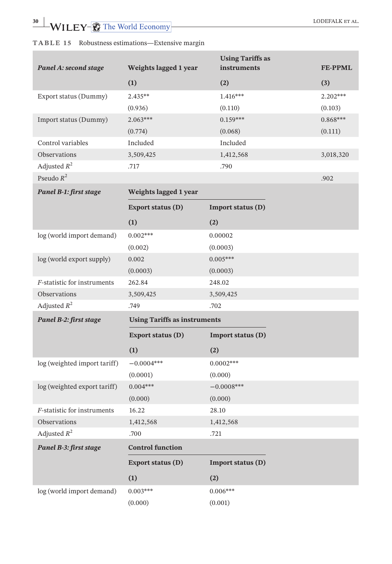|                              |                                     | <b>Using Tariffs as</b> |                |
|------------------------------|-------------------------------------|-------------------------|----------------|
| Panel A: second stage        | Weights lagged 1 year               | instruments             | <b>FE-PPML</b> |
|                              | (1)                                 | (2)                     | (3)            |
| Export status (Dummy)        | $2.435**$                           | $1.416***$              | 2.202***       |
|                              | (0.936)                             | (0.110)                 | (0.103)        |
| Import status (Dummy)        | $2.063***$                          | $0.159***$              | $0.868***$     |
|                              | (0.774)                             | (0.068)                 | (0.111)        |
| Control variables            | Included                            | Included                |                |
| Observations                 | 3,509,425                           | 1,412,568               | 3,018,320      |
| Adjusted $R^2$               | .717                                | .790                    |                |
| Pseudo $R^2$                 |                                     |                         | .902           |
| Panel B-1: first stage       | Weights lagged 1 year               |                         |                |
|                              | Export status (D)                   | Import status (D)       |                |
|                              | (1)                                 | (2)                     |                |
| log (world import demand)    | $0.002***$                          | 0.00002                 |                |
|                              | (0.002)                             | (0.0003)                |                |
| log (world export supply)    | 0.002                               | $0.005***$              |                |
|                              | (0.0003)                            | (0.0003)                |                |
| F-statistic for instruments  | 262.84                              | 248.02                  |                |
| Observations                 | 3,509,425                           | 3,509,425               |                |
| Adjusted $R^2$               | .749                                | .702                    |                |
| Panel B-2: first stage       | <b>Using Tariffs as instruments</b> |                         |                |
|                              | Export status (D)                   | Import status (D)       |                |
|                              | (1)                                 | (2)                     |                |
| log (weighted import tariff) | $-0.0004***$                        | $0.0002***$             |                |
|                              | (0.0001)                            | (0.000)                 |                |
| log (weighted export tariff) | $0.004***$                          | $-0.0008***$            |                |
|                              | (0.000)                             | (0.000)                 |                |
| F-statistic for instruments  | 16.22                               | 28.10                   |                |
| Observations                 | 1,412,568                           | 1,412,568               |                |
| Adjusted $R^2$               | .700                                | .721                    |                |
| Panel B-3: first stage       | <b>Control function</b>             |                         |                |
|                              | Export status (D)                   | Import status (D)       |                |
|                              | (1)                                 | (2)                     |                |
| log (world import demand)    | $0.003***$                          | $0.006***$              |                |
|                              | (0.000)                             | (0.001)                 |                |

# **TABLE 15** Robustness estimations—Extensive margin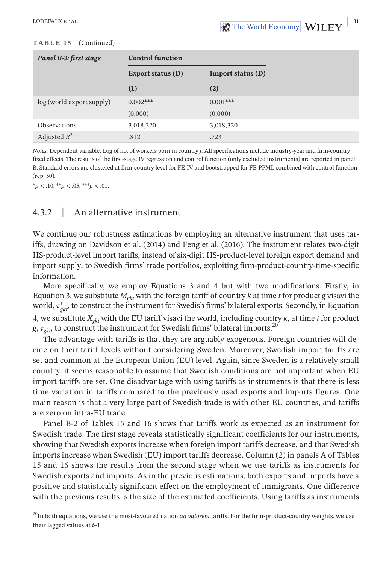#### **TABLE 15** (Continued)

| Panel B-3: first stage    | <b>Control function</b> |                   |
|---------------------------|-------------------------|-------------------|
|                           | Export status (D)       | Import status (D) |
|                           | (1)                     | (2)               |
| log (world export supply) | $0.002***$              | $0.001***$        |
|                           | (0.000)                 | (0.000)           |
| Observations              | 3,018,320               | 3,018,320         |
| Adjusted $R^2$            | .812                    | .723              |

*Notes:* Dependent variable: Log of no. of workers born in country *j*. All specifications include industry-year and firm-country fixed effects. The results of the first-stage IV regression and control function (only excluded instruments) are reported in panel B. Standard errors are clustered at firm-country level for FE-IV and bootstrapped for FE-PPML combined with control function (rep. 50).

\**p* < .10, \*\**p* < .05, \*\*\**p* < .01.

# 4.3.2 | An alternative instrument

We continue our robustness estimations by employing an alternative instrument that uses tariffs, drawing on Davidson et al. (2014) and Feng et al. (2016). The instrument relates two-digit HS-product-level import tariffs, instead of six-digit HS-product-level foreign export demand and import supply, to Swedish firms' trade portfolios, exploiting firm-product-country-time-specific information.

More specifically, we employ Equations 3 and 4 but with two modifications. Firstly, in Equation 3, we substitute  $M_{gkt}$  with the foreign tariff of country *k* at time *t* for product *g* visavi the world,  $\tau_{gkt}^*$ , to construct the instrument for Swedish firms' bilateral exports. Secondly, in Equation 4, we substitute *Xgkt* with the EU tariff visavi the world, including country *k*, at time *t* for product *g*,  $\tau_{gkt}$ , to construct the instrument for Swedish firms' bilateral imports.<sup>20</sup>

The advantage with tariffs is that they are arguably exogenous. Foreign countries will decide on their tariff levels without considering Sweden. Moreover, Swedish import tariffs are set and common at the European Union (EU) level. Again, since Sweden is a relatively small country, it seems reasonable to assume that Swedish conditions are not important when EU import tariffs are set. One disadvantage with using tariffs as instruments is that there is less time variation in tariffs compared to the previously used exports and imports figures. One main reason is that a very large part of Swedish trade is with other EU countries, and tariffs are zero on intra-EU trade.

Panel B-2 of Tables 15 and 16 shows that tariffs work as expected as an instrument for Swedish trade. The first stage reveals statistically significant coefficients for our instruments, showing that Swedish exports increase when foreign import tariffs decrease, and that Swedish imports increase when Swedish (EU) import tariffs decrease. Column (2) in panels A of Tables 15 and 16 shows the results from the second stage when we use tariffs as instruments for Swedish exports and imports. As in the previous estimations, both exports and imports have a positive and statistically significant effect on the employment of immigrants. One difference with the previous results is the size of the estimated coefficients. Using tariffs as instruments

<sup>&</sup>lt;sup>20</sup>In both equations, we use the most-favoured nation *ad valorem* tariffs. For the firm-product-country weights, we use their lagged values at *t*–1.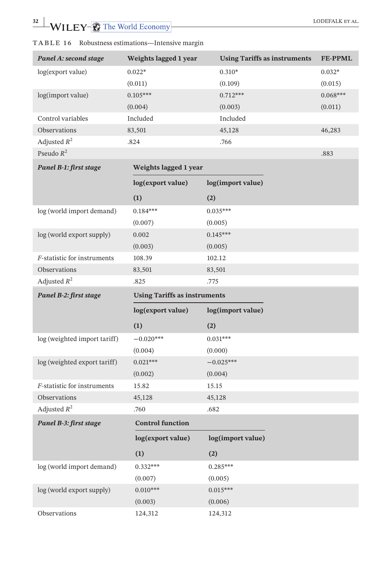| Panel A: second stage        | Weights lagged 1 year               | <b>Using Tariffs as instruments</b> | <b>FE-PPML</b> |
|------------------------------|-------------------------------------|-------------------------------------|----------------|
| log(export value)            | $0.022*$                            | $0.310*$                            | $0.032*$       |
|                              | (0.011)                             | (0.109)                             | (0.015)        |
| log(import value)            | $0.105***$                          | $0.712***$                          | $0.068***$     |
|                              | (0.004)                             | (0.003)                             | (0.011)        |
| Control variables            | Included                            | Included                            |                |
| Observations                 | 83,501                              | 45,128                              | 46,283         |
| Adjusted $R^2$               | .824                                | .766                                |                |
| Pseudo $R^2$                 |                                     |                                     | .883           |
| Panel B-1: first stage       | Weights lagged 1 year               |                                     |                |
|                              | log(export value)                   | log(import value)                   |                |
|                              | (1)                                 | (2)                                 |                |
| log (world import demand)    | $0.184***$                          | $0.035***$                          |                |
|                              | (0.007)                             | (0.005)                             |                |
| log (world export supply)    | 0.002                               | $0.145***$                          |                |
|                              | (0.003)                             | (0.005)                             |                |
| F-statistic for instruments  | 108.39                              | 102.12                              |                |
| Observations                 | 83,501                              | 83,501                              |                |
| Adjusted $R^2$               | .825                                | .775                                |                |
|                              |                                     |                                     |                |
| Panel B-2: first stage       | <b>Using Tariffs as instruments</b> |                                     |                |
|                              | log(export value)                   | log(import value)                   |                |
|                              | (1)                                 | (2)                                 |                |
| log (weighted import tariff) | $-0.020***$                         | $0.031***$                          |                |
|                              | (0.004)                             | (0.000)                             |                |
| log (weighted export tariff) | $0.021***$                          | $-0.025***$                         |                |
|                              | (0.002)                             | (0.004)                             |                |
| F-statistic for instruments  | 15.82                               | 15.15                               |                |
| Observations                 | 45,128                              | 45,128                              |                |
| Adjusted $R^2$               | .760                                | .682                                |                |
| Panel B-3: first stage       | <b>Control function</b>             |                                     |                |
|                              | log(export value)                   | log(import value)                   |                |
|                              | (1)                                 | (2)                                 |                |
| log (world import demand)    | $0.332***$                          | $0.285***$                          |                |
|                              | (0.007)                             | (0.005)                             |                |
| log (world export supply)    | $0.010***$                          | $0.015***$                          |                |
|                              | (0.003)                             | (0.006)                             |                |

**TABLE 16** Robustness estimations—Intensive margin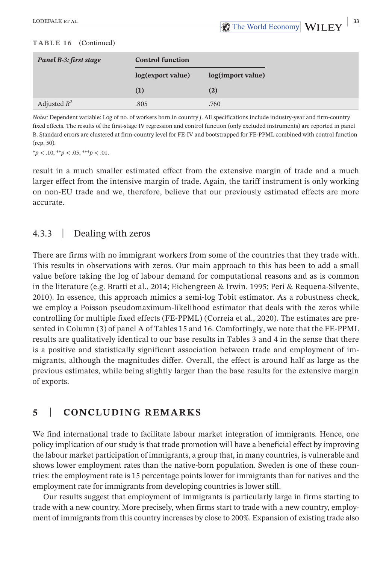#### **TABLE 16** (Continued)

| Panel B-3: first stage | <b>Control function</b> |                   |
|------------------------|-------------------------|-------------------|
|                        | log(export value)       | log(import value) |
|                        | (1)                     | (2)               |
| Adjusted $R^2$         | .805                    | .760              |

*Notes:* Dependent variable: Log of no. of workers born in country *j*. All specifications include industry-year and firm-country fixed effects. The results of the first-stage IV regression and control function (only excluded instruments) are reported in panel B. Standard errors are clustered at firm-country level for FE-IV and bootstrapped for FE-PPML combined with control function (rep. 50).

\**p* < .10, \*\**p* < .05, \*\*\**p* < .01.

result in a much smaller estimated effect from the extensive margin of trade and a much larger effect from the intensive margin of trade. Again, the tariff instrument is only working on non-EU trade and we, therefore, believe that our previously estimated effects are more accurate.

# 4.3.3 | Dealing with zeros

There are firms with no immigrant workers from some of the countries that they trade with. This results in observations with zeros. Our main approach to this has been to add a small value before taking the log of labour demand for computational reasons and as is common in the literature (e.g. Bratti et al., 2014; Eichengreen & Irwin, 1995; Peri & Requena-Silvente, 2010). In essence, this approach mimics a semi-log Tobit estimator. As a robustness check, we employ a Poisson pseudomaximum-likelihood estimator that deals with the zeros while controlling for multiple fixed effects (FE-PPML) (Correia et al., 2020). The estimates are presented in Column (3) of panel A of Tables 15 and 16. Comfortingly, we note that the FE-PPML results are qualitatively identical to our base results in Tables 3 and 4 in the sense that there is a positive and statistically significant association between trade and employment of immigrants, although the magnitudes differ. Overall, the effect is around half as large as the previous estimates, while being slightly larger than the base results for the extensive margin of exports.

# **5**  | **CONCLUDING REMARKS**

We find international trade to facilitate labour market integration of immigrants. Hence, one policy implication of our study is that trade promotion will have a beneficial effect by improving the labour market participation of immigrants, a group that, in many countries, is vulnerable and shows lower employment rates than the native-born population. Sweden is one of these countries: the employment rate is 15 percentage points lower for immigrants than for natives and the employment rate for immigrants from developing countries is lower still.

Our results suggest that employment of immigrants is particularly large in firms starting to trade with a new country. More precisely, when firms start to trade with a new country, employment of immigrants from this country increases by close to 200%. Expansion of existing trade also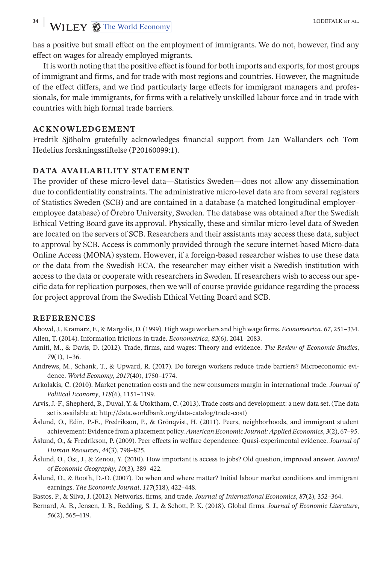has a positive but small effect on the employment of immigrants. We do not, however, find any effect on wages for already employed migrants.

It is worth noting that the positive effect isfound for both imports and exports, for most groups of immigrant and firms, and for trade with most regions and countries. However, the magnitude of the effect differs, and we find particularly large effects for immigrant managers and professionals, for male immigrants, for firms with a relatively unskilled labour force and in trade with countries with high formal trade barriers.

### **ACKNOWLEDGEMENT**

Fredrik Sjöholm gratefully acknowledges financial support from Jan Wallanders och Tom Hedelius forskningsstiftelse (P20160099:1).

### **DATA AVAILABILITY STATEMENT**

The provider of these micro-level data—Statistics Sweden—does not allow any dissemination due to confidentiality constraints. The administrative micro-level data are from several registers of Statistics Sweden (SCB) and are contained in a database (a matched longitudinal employer– employee database) of Örebro University, Sweden. The database was obtained after the Swedish Ethical Vetting Board gave its approval. Physically, these and similar micro-level data of Sweden are located on the servers of SCB. Researchers and their assistants may access these data, subject to approval by SCB. Access is commonly provided through the secure internet-based Micro-data Online Access (MONA) system. However, if a foreign-based researcher wishes to use these data or the data from the Swedish ECA, the researcher may either visit a Swedish institution with access to the data or cooperate with researchers in Sweden. If researchers wish to access our specific data for replication purposes, then we will of course provide guidance regarding the process for project approval from the Swedish Ethical Vetting Board and SCB.

#### **REFERENCES**

- Abowd,J., Kramarz, F., & Margolis, D. (1999). High wage workers and high wage firms. *Econometrica*, *67*, 251–334. Allen, T. (2014). Information frictions in trade. *Econometrica*, *82*(6), 2041–2083.
- Amiti, M., & Davis, D. (2012). Trade, firms, and wages: Theory and evidence. *The Review of Economic Studies*, *79*(1), 1–36.
- Andrews, M., Schank, T., & Upward, R. (2017). Do foreign workers reduce trade barriers? Microeconomic evidence. *World Economy*, *2017*(40), 1750–1774.
- Arkolakis, C. (2010). Market penetration costs and the new consumers margin in international trade. *Journal of Political Economy*, *118*(6), 1151–1199.
- Arvis, J.-F., Shepherd, B., Duval, Y. & Utoktham, C. (2013). Trade costs and development: a new data set. (The data set is available at: <http://data.worldbank.org/data-catalog/trade-cost>)
- Åslund, O., Edin, P.-E., Fredrikson, P., & Grönqvist, H. (2011). Peers, neighborhoods, and immigrant student achievement: Evidence from a placement policy. *American Economic Journal: Applied Economics*, *3*(2), 67–95.
- Åslund, O., & Fredrikson, P. (2009). Peer effects in welfare dependence: Quasi-experimental evidence. *Journal of Human Resources*, *44*(3), 798–825.
- Åslund, O., Öst, J., & Zenou, Y. (2010). How important is access to jobs? Old question, improved answer. *Journal of Economic Geography*, *10*(3), 389–422.
- Åslund, O., & Rooth, D.-O. (2007). Do when and where matter? Initial labour market conditions and immigrant earnings. *The Economic Journal*, *117*(518), 422–448.
- Bastos, P., & Silva, J. (2012). Networks, firms, and trade. *Journal of International Economics*, *87*(2), 352–364.
- Bernard, A. B., Jensen, J. B., Redding, S. J., & Schott, P. K. (2018). Global firms. *Journal of Economic Literature*, *56*(2), 565–619.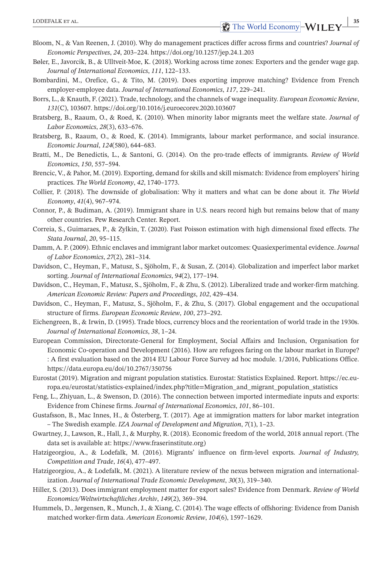- Bloom, N., & Van Reenen, J. (2010). Why do management practices differ across firms and countries? *Journal of Economic Perspectives*, *24*, 203–224. <https://doi.org/10.1257/jep.24.1.203>
- Bøler, E., Javorcik, B., & Ulltveit-Moe, K. (2018). Working across time zones: Exporters and the gender wage gap. *Journal of International Economics*, *111*, 122–133.
- Bombardini, M., Orefice, G., & Tito, M. (2019). Does exporting improve matching? Evidence from French employer-employee data. *Journal of International Economics*, *117*, 229–241.
- Borrs, L., & Knauth, F. (2021). Trade, technology, and the channels of wage inequality. *European Economic Review*, *131*(C), 103607. <https://doi.org/10.1016/j.euroecorev.2020.103607>
- Bratsberg, B., Raaum, O., & Roed, K. (2010). When minority labor migrants meet the welfare state. *Journal of Labor Economics*, *28*(3), 633–676.
- Bratsberg, B., Raaum, O., & Roed, K. (2014). Immigrants, labour market performance, and social insurance. *Economic Journal*, *124*(580), 644–683.
- Bratti, M., De Benedictis, L., & Santoni, G. (2014). On the pro-trade effects of immigrants. *Review of World Economics*, *150*, 557–594.
- Brencic, V., & Pahor, M. (2019). Exporting, demand for skills and skill mismatch: Evidence from employers' hiring practices. *The World Economy*, *42*, 1740–1773.
- Collier, P. (2018). The downside of globalisation: Why it matters and what can be done about it. *The World Economy*, *41*(4), 967–974.
- Connor, P., & Budiman, A. (2019). Immigrant share in U.S. nears record high but remains below that of many other countries. Pew Research Center. Report.
- Correia, S., Guimaraes, P., & Zylkin, T. (2020). Fast Poisson estimation with high dimensional fixed effects. *The Stata Journal*, *20*, 95–115.
- Damm, A. P. (2009). Ethnic enclaves and immigrant labor market outcomes: Quasiexperimental evidence.*Journal of Labor Economics*, *27*(2), 281–314.
- Davidson, C., Heyman, F., Matusz, S., Sjöholm, F., & Susan, Z. (2014). Globalization and imperfect labor market sorting. *Journal of International Economics*, *94*(2), 177–194.
- Davidson, C., Heyman, F., Matusz, S., Sjöholm, F., & Zhu, S. (2012). Liberalized trade and worker-firm matching. *American Economic Review: Papers and Proceedings*, *102*, 429–434.
- Davidson, C., Heyman, F., Matusz, S., Sjöholm, F., & Zhu, S. (2017). Global engagement and the occupational structure of firms. *European Economic Review*, *100*, 273–292.
- Eichengreen, B., & Irwin, D. (1995). Trade blocs, currency blocs and the reorientation of world trade in the 1930s. *Journal of International Economics*, *38*, 1–24.
- European Commission, Directorate-General for Employment, Social Affairs and Inclusion, Organisation for Economic Co-operation and Development (2016). How are refugees faring on the labour market in Europe? : A first evaluation based on the 2014 EU Labour Force Survey ad hoc module. 1/2016, Publications Office. <https://data.europa.eu/doi/10.2767/350756>
- Eurostat (2019). Migration and migrant population statistics. Eurostat: Statistics Explained. Report. [https://ec.eu](https://ec.europa.eu/eurostat/statistics-explained/index.php?title=Migration_and_migrant_population_statistics)[ropa.eu/eurostat/statistics-explained/index.php?title=Migration\\_and\\_migrant\\_population\\_statistics](https://ec.europa.eu/eurostat/statistics-explained/index.php?title=Migration_and_migrant_population_statistics)
- Feng, L., Zhiyuan, L., & Swenson, D. (2016). The connection between imported intermediate inputs and exports: Evidence from Chinese firms. *Journal of International Economics*, *101*, 86–101.
- Gustafsson, B., Mac Innes, H., & Österberg, T. (2017). Age at immigration matters for labor market integration – The Swedish example. *IZA Journal of Development and Migration*, *7*(1), 1–23.
- Gwartney, J., Lawson, R., Hall, J., & Murphy, R. (2018). Economic freedom of the world, 2018 annual report. (The data set is available at: [https://www.fraserinstitute.org\)](https://www.fraserinstitute.org)
- Hatzigeorgiou, A., & Lodefalk, M. (2016). Migrants' influence on firm-level exports. *Journal of Industry, Competition and Trade*, *16*(4), 477–497.
- Hatzigeorgiou, A., & Lodefalk, M. (2021). A literature review of the nexus between migration and internationalization. *Journal of International Trade Economic Development*, *30*(3), 319–340.
- Hiller, S. (2013). Does immigrant employment matter for export sales? Evidence from Denmark. *Review of World Economics/Weltwirtschaftliches Archiv*, *149*(2), 369–394.
- Hummels, D., Jørgensen, R., Munch, J., & Xiang, C. (2014). The wage effects of offshoring: Evidence from Danish matched worker-firm data. *American Economic Review*, *104*(6), 1597–1629.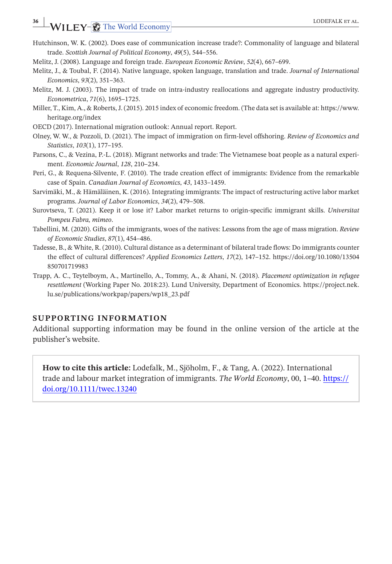# **36 |** LODEFALK ET AL.

- Hutchinson, W. K. (2002). Does ease of communication increase trade?: Commonality of language and bilateral trade. *Scottish Journal of Political Economy*, *49*(5), 544–556.
- Melitz, J. (2008). Language and foreign trade. *European Economic Review*, *52*(4), 667–699.
- Melitz, J., & Toubal, F. (2014). Native language, spoken language, translation and trade. *Journal of International Economics*, *93*(2), 351–363.
- Melitz, M. J. (2003). The impact of trade on intra-industry reallocations and aggregate industry productivity. *Econometrica*, *71*(6), 1695–1725.
- Miller, T., Kim, A., & Roberts,J. (2015). 2015 index of economic freedom. (The data set is available at: [https://www.](https://www.heritage.org/index) [heritage.org/index](https://www.heritage.org/index)
- OECD (2017). International migration outlook: Annual report. Report.
- Olney, W. W., & Pozzoli, D. (2021). The impact of immigration on firm-level offshoring. *Review of Economics and Statistics*, *103*(1), 177–195.
- Parsons, C., & Vezina, P.-L. (2018). Migrant networks and trade: The Vietnamese boat people as a natural experiment. *Economic Journal*, *128*, 210–234.
- Peri, G., & Requena-Silvente, F. (2010). The trade creation effect of immigrants: Evidence from the remarkable case of Spain. *Canadian Journal of Economics*, *43*, 1433–1459.
- Sarvimäki, M., & Hämäläinen, K. (2016). Integrating immigrants: The impact of restructuring active labor market programs. *Journal of Labor Economics*, *34*(2), 479–508.
- Surovtseva, T. (2021). Keep it or lose it? Labor market returns to origin-specific immigrant skills. *Universitat Pompeu Fabra, mimeo*.
- Tabellini, M. (2020). Gifts of the immigrants, woes of the natives: Lessons from the age of mass migration. *Review of Economic Studies*, *87*(1), 454–486.
- Tadesse, B., & White, R. (2010). Cultural distance as a determinant of bilateral trade flows: Do immigrants counter the effect of cultural differences? *Applied Economics Letters*, *17*(2), 147–152. [https://doi.org/10.1080/13504](https://doi.org/10.1080/13504850701719983) [850701719983](https://doi.org/10.1080/13504850701719983)
- Trapp, A. C., Teytelboym, A., Martinello, A., Tommy, A., & Ahani, N. (2018). *Placement optimization in refugee resettlement* (Working Paper No. 2018:23). Lund University, Department of Economics. [https://project.nek.](https://project.nek.lu.se/publications/workpap/papers/wp18_23.pdf) [lu.se/publications/workpap/papers/wp18\\_23.pdf](https://project.nek.lu.se/publications/workpap/papers/wp18_23.pdf)

# **SUPPORTING INFORMATION**

Additional supporting information may be found in the online version of the article at the publisher's website.

**How to cite this article:** Lodefalk, M., Sjöholm, F., & Tang, A. (2022). International trade and labour market integration of immigrants. *The World Economy*, 00, 1–40. [https://](https://doi.org/10.1111/twec.13240) [doi.org/10.1111/twec.13240](https://doi.org/10.1111/twec.13240)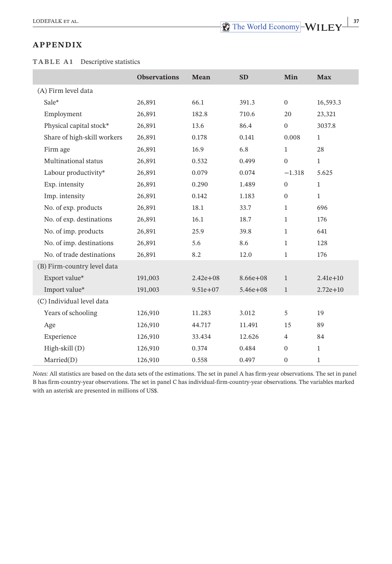## **APPENDIX**

### **TABLE A1** Descriptive statistics

|                             | <b>Observations</b> | Mean         | <b>SD</b>    | Min              | <b>Max</b>   |
|-----------------------------|---------------------|--------------|--------------|------------------|--------------|
| (A) Firm level data         |                     |              |              |                  |              |
| Sale*                       | 26,891              | 66.1         | 391.3        | $\mathbf{0}$     | 16,593.3     |
| Employment                  | 26,891              | 182.8        | 710.6        | 20               | 23,321       |
| Physical capital stock*     | 26,891              | 13.6         | 86.4         | $\mathbf{0}$     | 3037.8       |
| Share of high-skill workers | 26,891              | 0.178        | 0.141        | 0.008            | $\mathbf{1}$ |
| Firm age                    | 26,891              | 16.9         | 6.8          | $\mathbf{1}$     | 28           |
| Multinational status        | 26,891              | 0.532        | 0.499        | $\mathbf{0}$     | $\mathbf{1}$ |
| Labour productivity*        | 26,891              | 0.079        | 0.074        | $-1.318$         | 5.625        |
| Exp. intensity              | 26,891              | 0.290        | 1.489        | $\boldsymbol{0}$ | $\mathbf{1}$ |
| Imp. intensity              | 26,891              | 0.142        | 1.183        | $\boldsymbol{0}$ | $\mathbf{1}$ |
| No. of exp. products        | 26,891              | 18.1         | 33.7         | $\mathbf{1}$     | 696          |
| No. of exp. destinations    | 26,891              | 16.1         | 18.7         | $\mathbf{1}$     | 176          |
| No. of imp. products        | 26,891              | 25.9         | 39.8         | $\mathbf{1}$     | 641          |
| No. of imp. destinations    | 26,891              | 5.6          | 8.6          | $\mathbf{1}$     | 128          |
| No. of trade destinations   | 26,891              | 8.2          | 12.0         | 1                | 176          |
| (B) Firm-country level data |                     |              |              |                  |              |
| Export value*               | 191,003             | $2.42e + 08$ | $8.66e + 08$ | $\mathbf{1}$     | $2.41e + 10$ |
| Import value*               | 191,003             | $9.51e + 07$ | $5.46e + 08$ | $\mathbf{1}$     | $2.72e + 10$ |
| (C) Individual level data   |                     |              |              |                  |              |
| Years of schooling          | 126,910             | 11.283       | 3.012        | 5                | 19           |
| Age                         | 126,910             | 44.717       | 11.491       | 15               | 89           |
| Experience                  | 126,910             | 33.434       | 12.626       | $\overline{4}$   | 84           |
| $High-skill(D)$             | 126,910             | 0.374        | 0.484        | $\mathbf{0}$     | $\mathbf{1}$ |
| Married(D)                  | 126,910             | 0.558        | 0.497        | $\overline{0}$   | $\mathbf{1}$ |

*Notes:* All statistics are based on the data sets of the estimations. The set in panel A has firm-year observations. The set in panel B has firm-country-year observations. The set in panel C has individual-firm-country-year observations. The variables marked with an asterisk are presented in millions of US\$.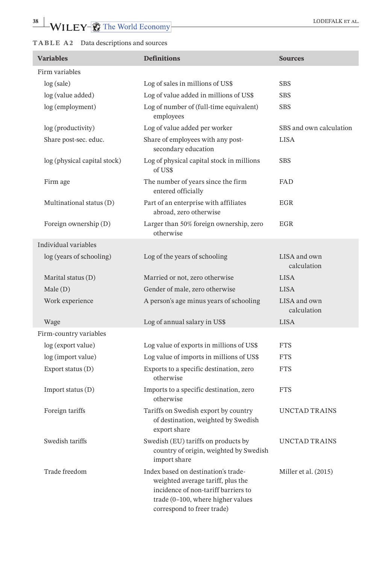# **TABLE A 2** Data descriptions and sources

| <b>Variables</b>             | <b>Definitions</b>                                                                                                                                                                 | <b>Sources</b>              |
|------------------------------|------------------------------------------------------------------------------------------------------------------------------------------------------------------------------------|-----------------------------|
| Firm variables               |                                                                                                                                                                                    |                             |
| log(sale)                    | Log of sales in millions of US\$                                                                                                                                                   | <b>SBS</b>                  |
| log (value added)            | Log of value added in millions of US\$                                                                                                                                             | <b>SBS</b>                  |
| log (employment)             | Log of number of (full-time equivalent)<br>employees                                                                                                                               | <b>SBS</b>                  |
| log (productivity)           | Log of value added per worker                                                                                                                                                      | SBS and own calculation     |
| Share post-sec. educ.        | Share of employees with any post-<br>secondary education                                                                                                                           | <b>LISA</b>                 |
| log (physical capital stock) | Log of physical capital stock in millions<br>of US\$                                                                                                                               | <b>SBS</b>                  |
| Firm age                     | The number of years since the firm<br>entered officially                                                                                                                           | FAD                         |
| Multinational status (D)     | Part of an enterprise with affiliates<br>abroad, zero otherwise                                                                                                                    | EGR                         |
| Foreign ownership (D)        | Larger than 50% foreign ownership, zero<br>otherwise                                                                                                                               | EGR                         |
| Individual variables         |                                                                                                                                                                                    |                             |
| log (years of schooling)     | Log of the years of schooling                                                                                                                                                      | LISA and own<br>calculation |
| Marital status (D)           | Married or not, zero otherwise                                                                                                                                                     | <b>LISA</b>                 |
| Male(D)                      | Gender of male, zero otherwise                                                                                                                                                     | <b>LISA</b>                 |
| Work experience              | A person's age minus years of schooling                                                                                                                                            | LISA and own<br>calculation |
| Wage                         | Log of annual salary in US\$                                                                                                                                                       | <b>LISA</b>                 |
| Firm-country variables       |                                                                                                                                                                                    |                             |
| log (export value)           | Log value of exports in millions of US\$                                                                                                                                           | <b>FTS</b>                  |
| log (import value)           | Log value of imports in millions of US\$                                                                                                                                           | <b>FTS</b>                  |
| Export status (D)            | Exports to a specific destination, zero<br>otherwise                                                                                                                               | <b>FTS</b>                  |
| Import status (D)            | Imports to a specific destination, zero<br>otherwise                                                                                                                               | <b>FTS</b>                  |
| Foreign tariffs              | Tariffs on Swedish export by country<br>of destination, weighted by Swedish<br>export share                                                                                        | UNCTAD TRAINS               |
| Swedish tariffs              | Swedish (EU) tariffs on products by<br>country of origin, weighted by Swedish<br>import share                                                                                      | UNCTAD TRAINS               |
| Trade freedom                | Index based on destination's trade-<br>weighted average tariff, plus the<br>incidence of non-tariff barriers to<br>trade (0-100, where higher values<br>correspond to freer trade) | Miller et al. (2015)        |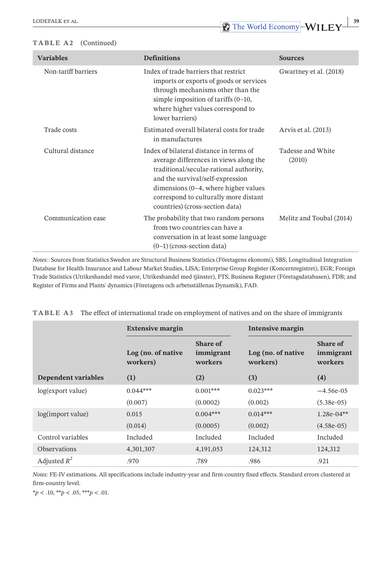#### **TABLE A2** (Continued)

| <b>Variables</b>    | <b>Definitions</b>                                                                                                                                                                                                                                                                       | <b>Sources</b>              |
|---------------------|------------------------------------------------------------------------------------------------------------------------------------------------------------------------------------------------------------------------------------------------------------------------------------------|-----------------------------|
| Non-tariff barriers | Index of trade barriers that restrict<br>imports or exports of goods or services<br>through mechanisms other than the<br>simple imposition of tariffs $(0-10, 1)$<br>where higher values correspond to<br>lower barriers)                                                                | Gwartney et al. (2018)      |
| Trade costs         | Estimated overall bilateral costs for trade<br>in manufactures                                                                                                                                                                                                                           | Arvis et al. (2013)         |
| Cultural distance   | Index of bilateral distance in terms of<br>average differences in views along the<br>traditional/secular-rational authority,<br>and the survival/self-expression<br>dimensions $(0-4)$ , where higher values<br>correspond to culturally more distant<br>countries) (cross-section data) | Tadesse and White<br>(2010) |
| Communication ease  | The probability that two random persons<br>from two countries can have a<br>conversation in at least some language<br>$(0-1)$ (cross-section data)                                                                                                                                       | Melitz and Toubal (2014)    |

*Notes::* Sources from Statistics Sweden are Structural Business Statistics (Företagens ekonomi), SBS; Longitudinal Integration Database for Health Insurance and Labour Market Studies, LISA; Enterprise Group Register (Koncernregistret), EGR; Foreign Trade Statistics (Utrikeshandel med varor, Utrikeshandel med tjänster), FTS; Business Register (Företagsdatabasen), FDB; and Register of Firms and Plants' dynamics (Företagens och arbetsställenas Dynamik), FAD.

|                            | <b>Extensive margin</b>        |                                  | Intensive margin               |                                  |  |
|----------------------------|--------------------------------|----------------------------------|--------------------------------|----------------------------------|--|
|                            | Log (no. of native<br>workers) | Share of<br>immigrant<br>workers | Log (no. of native<br>workers) | Share of<br>immigrant<br>workers |  |
| <b>Dependent variables</b> | (1)                            | (2)                              | (3)                            | (4)                              |  |
| log(export value)          | $0.044***$                     | $0.001***$                       | $0.023***$                     | $-4.56e-0.5$                     |  |
|                            | (0.007)                        | (0.0002)                         | (0.002)                        | $(5.38e-05)$                     |  |
| log(import value)          | 0.015                          | $0.004***$                       | $0.014***$                     | $1.28e-04**$                     |  |
|                            | (0.014)                        | (0.0005)                         | (0.002)                        | $(4.58e-05)$                     |  |
| Control variables          | Included                       | Included                         | Included                       | Included                         |  |
| <b>Observations</b>        | 4,301,307                      | 4,191,053                        | 124,312                        | 124,312                          |  |
| Adjusted $R^2$             | .970                           | .789                             | .986                           | .921                             |  |

**TABLE A 3** The effect of international trade on employment of natives and on the share of immigrants

*Notes:* FE-IV estimations. All specifications include industry-year and firm-country fixed effects. Standard errors clustered at firm-country level.

\**p* < .10, \*\**p* < .05, \*\*\**p* < .01.